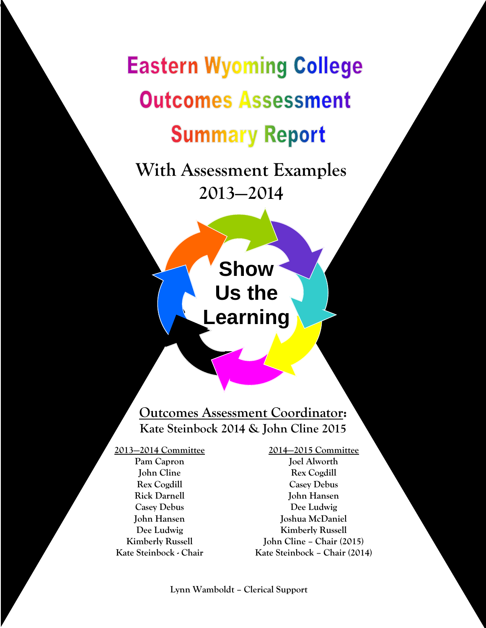# **Eastern Wyoming College Outcomes Assessment Summary Report**

**With Assessment Examples 2013—2014**

> **Show Us the Learning**

## **Outcomes Assessment Coordinator: Kate Steinbock 2014 & John Cline 2015**

**2013—2014 Committee Pam Capron John Cline Rex Cogdill Rick Darnell Casey Debus John Hansen Dee Ludwig Kimberly Russell Kate Steinbock - Chair**

ł

**2014—2015 Committee Joel Alworth Rex Cogdill Casey Debus John Hansen Dee Ludwig Joshua McDaniel Kimberly Russell John Cline – Chair (2015) Kate Steinbock – Chair (2014)**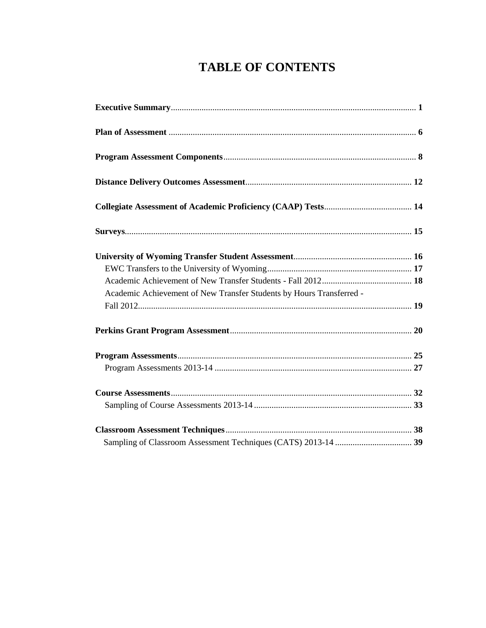# **TABLE OF CONTENTS**

| Academic Achievement of New Transfer Students by Hours Transferred - |  |
|----------------------------------------------------------------------|--|
|                                                                      |  |
|                                                                      |  |
|                                                                      |  |
|                                                                      |  |
|                                                                      |  |
|                                                                      |  |
|                                                                      |  |
|                                                                      |  |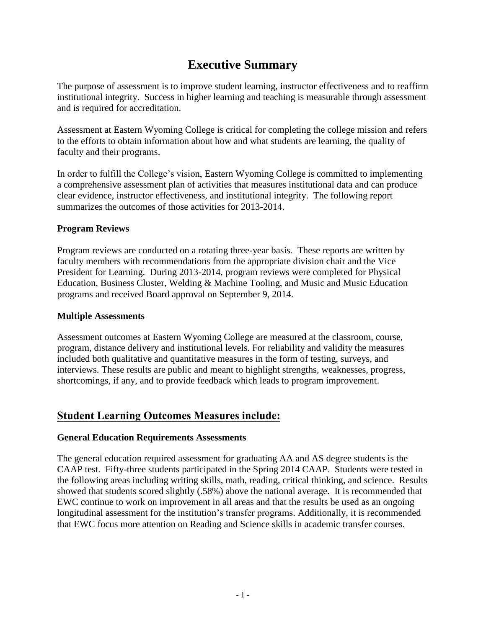# **Executive Summary**

The purpose of assessment is to improve student learning, instructor effectiveness and to reaffirm institutional integrity. Success in higher learning and teaching is measurable through assessment and is required for accreditation.

Assessment at Eastern Wyoming College is critical for completing the college mission and refers to the efforts to obtain information about how and what students are learning, the quality of faculty and their programs.

In order to fulfill the College's vision, Eastern Wyoming College is committed to implementing a comprehensive assessment plan of activities that measures institutional data and can produce clear evidence, instructor effectiveness, and institutional integrity. The following report summarizes the outcomes of those activities for 2013-2014.

#### **Program Reviews**

Program reviews are conducted on a rotating three-year basis. These reports are written by faculty members with recommendations from the appropriate division chair and the Vice President for Learning. During 2013-2014, program reviews were completed for Physical Education, Business Cluster, Welding & Machine Tooling, and Music and Music Education programs and received Board approval on September 9, 2014.

#### **Multiple Assessments**

Assessment outcomes at Eastern Wyoming College are measured at the classroom, course, program, distance delivery and institutional levels. For reliability and validity the measures included both qualitative and quantitative measures in the form of testing, surveys, and interviews. These results are public and meant to highlight strengths, weaknesses, progress, shortcomings, if any, and to provide feedback which leads to program improvement.

## **Student Learning Outcomes Measures include:**

#### **General Education Requirements Assessments**

The general education required assessment for graduating AA and AS degree students is the CAAP test. Fifty-three students participated in the Spring 2014 CAAP. Students were tested in the following areas including writing skills, math, reading, critical thinking, and science. Results showed that students scored slightly (.58%) above the national average. It is recommended that EWC continue to work on improvement in all areas and that the results be used as an ongoing longitudinal assessment for the institution's transfer programs. Additionally, it is recommended that EWC focus more attention on Reading and Science skills in academic transfer courses.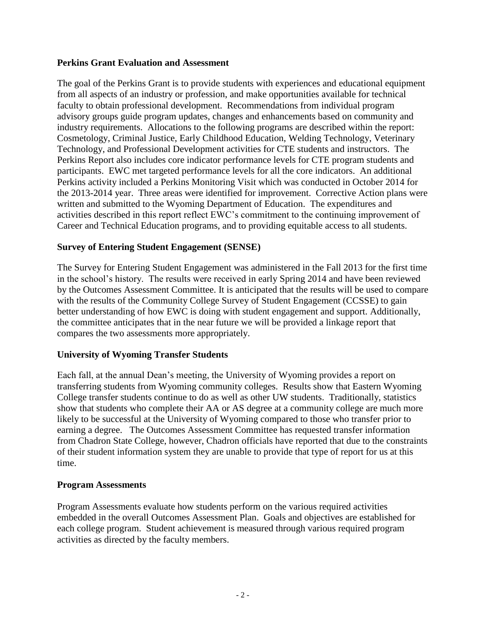#### **Perkins Grant Evaluation and Assessment**

The goal of the Perkins Grant is to provide students with experiences and educational equipment from all aspects of an industry or profession, and make opportunities available for technical faculty to obtain professional development. Recommendations from individual program advisory groups guide program updates, changes and enhancements based on community and industry requirements. Allocations to the following programs are described within the report: Cosmetology, Criminal Justice, Early Childhood Education, Welding Technology, Veterinary Technology, and Professional Development activities for CTE students and instructors. The Perkins Report also includes core indicator performance levels for CTE program students and participants. EWC met targeted performance levels for all the core indicators. An additional Perkins activity included a Perkins Monitoring Visit which was conducted in October 2014 for the 2013-2014 year. Three areas were identified for improvement. Corrective Action plans were written and submitted to the Wyoming Department of Education. The expenditures and activities described in this report reflect EWC's commitment to the continuing improvement of Career and Technical Education programs, and to providing equitable access to all students.

#### **Survey of Entering Student Engagement (SENSE)**

The Survey for Entering Student Engagement was administered in the Fall 2013 for the first time in the school's history. The results were received in early Spring 2014 and have been reviewed by the Outcomes Assessment Committee. It is anticipated that the results will be used to compare with the results of the Community College Survey of Student Engagement (CCSSE) to gain better understanding of how EWC is doing with student engagement and support. Additionally, the committee anticipates that in the near future we will be provided a linkage report that compares the two assessments more appropriately.

#### **University of Wyoming Transfer Students**

Each fall, at the annual Dean's meeting, the University of Wyoming provides a report on transferring students from Wyoming community colleges. Results show that Eastern Wyoming College transfer students continue to do as well as other UW students. Traditionally, statistics show that students who complete their AA or AS degree at a community college are much more likely to be successful at the University of Wyoming compared to those who transfer prior to earning a degree. The Outcomes Assessment Committee has requested transfer information from Chadron State College, however, Chadron officials have reported that due to the constraints of their student information system they are unable to provide that type of report for us at this time.

#### **Program Assessments**

Program Assessments evaluate how students perform on the various required activities embedded in the overall Outcomes Assessment Plan. Goals and objectives are established for each college program. Student achievement is measured through various required program activities as directed by the faculty members.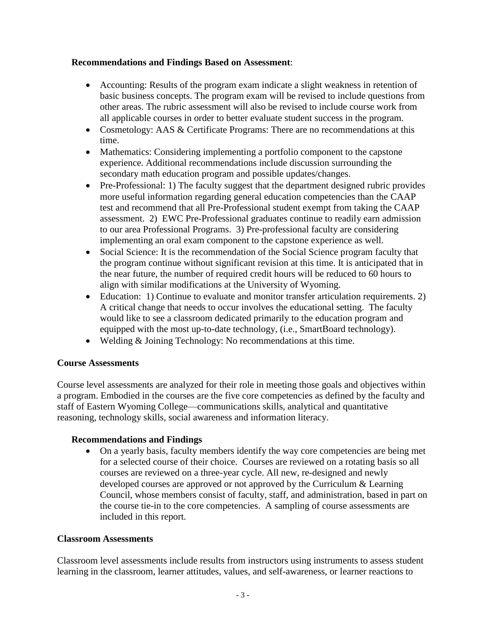#### **Recommendations and Findings Based on Assessment**:

- Accounting: Results of the program exam indicate a slight weakness in retention of basic business concepts. The program exam will be revised to include questions from other areas. The rubric assessment will also be revised to include course work from all applicable courses in order to better evaluate student success in the program.
- Cosmetology: AAS & Certificate Programs: There are no recommendations at this time.
- Mathematics: Considering implementing a portfolio component to the capstone experience. Additional recommendations include discussion surrounding the secondary math education program and possible updates/changes.
- Pre-Professional: 1) The faculty suggest that the department designed rubric provides more useful information regarding general education competencies than the CAAP test and recommend that all Pre-Professional student exempt from taking the CAAP assessment. 2) EWC Pre-Professional graduates continue to readily earn admission to our area Professional Programs. 3) Pre-professional faculty are considering implementing an oral exam component to the capstone experience as well.
- Social Science: It is the recommendation of the Social Science program faculty that the program continue without significant revision at this time. It is anticipated that in the near future, the number of required credit hours will be reduced to 60 hours to align with similar modifications at the University of Wyoming.
- Education: 1) Continue to evaluate and monitor transfer articulation requirements. 2) A critical change that needs to occur involves the educational setting. The faculty would like to see a classroom dedicated primarily to the education program and equipped with the most up-to-date technology, (i.e., SmartBoard technology).
- Welding & Joining Technology: No recommendations at this time.

#### **Course Assessments**

Course level assessments are analyzed for their role in meeting those goals and objectives within a program. Embodied in the courses are the five core competencies as defined by the faculty and staff of Eastern Wyoming College—communications skills, analytical and quantitative reasoning, technology skills, social awareness and information literacy.

#### **Recommendations and Findings**

 On a yearly basis, faculty members identify the way core competencies are being met for a selected course of their choice. Courses are reviewed on a rotating basis so all courses are reviewed on a three-year cycle. All new, re-designed and newly developed courses are approved or not approved by the Curriculum & Learning Council, whose members consist of faculty, staff, and administration, based in part on the course tie-in to the core competencies. A sampling of course assessments are included in this report.

#### **Classroom Assessments**

Classroom level assessments include results from instructors using instruments to assess student learning in the classroom, learner attitudes, values, and self-awareness, or learner reactions to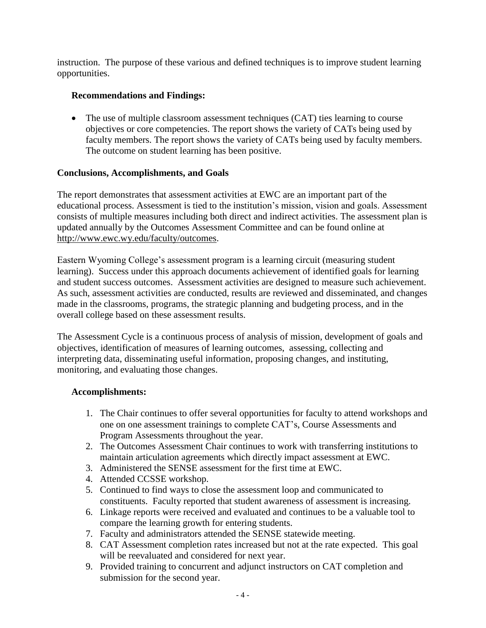instruction. The purpose of these various and defined techniques is to improve student learning opportunities.

#### **Recommendations and Findings:**

• The use of multiple classroom assessment techniques (CAT) ties learning to course objectives or core competencies. The report shows the variety of CATs being used by faculty members. The report shows the variety of CATs being used by faculty members. The outcome on student learning has been positive.

#### **Conclusions, Accomplishments, and Goals**

The report demonstrates that assessment activities at EWC are an important part of the educational process. Assessment is tied to the institution's mission, vision and goals. Assessment consists of multiple measures including both direct and indirect activities. The assessment plan is updated annually by the Outcomes Assessment Committee and can be found online at http://www.ewc.wy.edu/faculty/outcomes.

Eastern Wyoming College's assessment program is a learning circuit (measuring student learning). Success under this approach documents achievement of identified goals for learning and student success outcomes. Assessment activities are designed to measure such achievement. As such, assessment activities are conducted, results are reviewed and disseminated, and changes made in the classrooms, programs, the strategic planning and budgeting process, and in the overall college based on these assessment results.

The Assessment Cycle is a continuous process of analysis of mission, development of goals and objectives, identification of measures of learning outcomes, assessing, collecting and interpreting data, disseminating useful information, proposing changes, and instituting, monitoring, and evaluating those changes.

#### **Accomplishments:**

- 1. The Chair continues to offer several opportunities for faculty to attend workshops and one on one assessment trainings to complete CAT's, Course Assessments and Program Assessments throughout the year.
- 2. The Outcomes Assessment Chair continues to work with transferring institutions to maintain articulation agreements which directly impact assessment at EWC.
- 3. Administered the SENSE assessment for the first time at EWC.
- 4. Attended CCSSE workshop.
- 5. Continued to find ways to close the assessment loop and communicated to constituents. Faculty reported that student awareness of assessment is increasing.
- 6. Linkage reports were received and evaluated and continues to be a valuable tool to compare the learning growth for entering students.
- 7. Faculty and administrators attended the SENSE statewide meeting.
- 8. CAT Assessment completion rates increased but not at the rate expected. This goal will be reevaluated and considered for next year.
- 9. Provided training to concurrent and adjunct instructors on CAT completion and submission for the second year.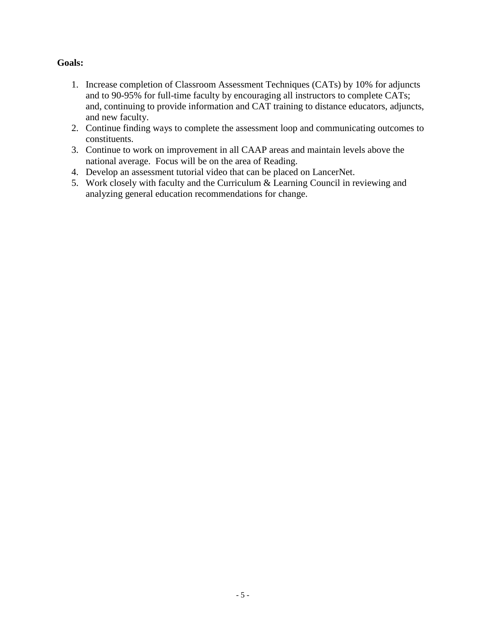#### **Goals:**

- 1. Increase completion of Classroom Assessment Techniques (CATs) by 10% for adjuncts and to 90-95% for full-time faculty by encouraging all instructors to complete CATs; and, continuing to provide information and CAT training to distance educators, adjuncts, and new faculty.
- 2. Continue finding ways to complete the assessment loop and communicating outcomes to constituents.
- 3. Continue to work on improvement in all CAAP areas and maintain levels above the national average. Focus will be on the area of Reading.
- 4. Develop an assessment tutorial video that can be placed on LancerNet.
- 5. Work closely with faculty and the Curriculum & Learning Council in reviewing and analyzing general education recommendations for change.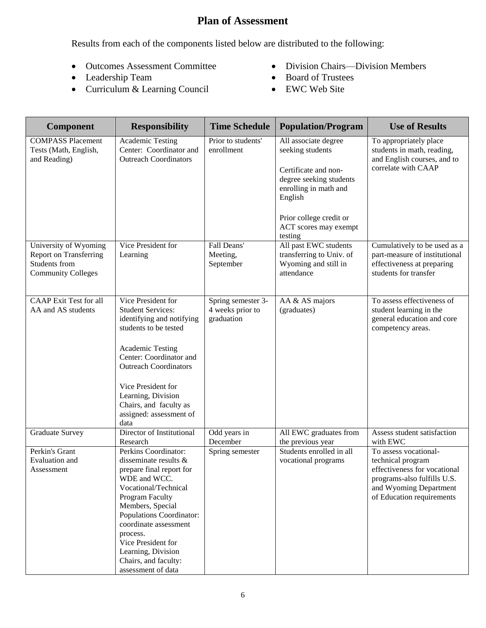## **Plan of Assessment**

Results from each of the components listed below are distributed to the following:

- Outcomes Assessment Committee
- Leadership Team
- Curriculum & Learning Council
- Division Chairs—Division Members
- Board of Trustees
- EWC Web Site

| <b>Component</b>                                                                                     | <b>Responsibility</b>                                                                                                                                                                                                                                                                                               | <b>Time Schedule</b>                                 | <b>Population/Program</b>                                                                                                                                                                      | <b>Use of Results</b>                                                                                                                                            |
|------------------------------------------------------------------------------------------------------|---------------------------------------------------------------------------------------------------------------------------------------------------------------------------------------------------------------------------------------------------------------------------------------------------------------------|------------------------------------------------------|------------------------------------------------------------------------------------------------------------------------------------------------------------------------------------------------|------------------------------------------------------------------------------------------------------------------------------------------------------------------|
| <b>COMPASS Placement</b><br>Tests (Math, English,<br>and Reading)                                    | Academic Testing<br>Center: Coordinator and<br><b>Outreach Coordinators</b>                                                                                                                                                                                                                                         | Prior to students'<br>enrollment                     | All associate degree<br>seeking students<br>Certificate and non-<br>degree seeking students<br>enrolling in math and<br>English<br>Prior college credit or<br>ACT scores may exempt<br>testing | To appropriately place<br>students in math, reading,<br>and English courses, and to<br>correlate with CAAP                                                       |
| University of Wyoming<br><b>Report on Transferring</b><br>Students from<br><b>Community Colleges</b> | Vice President for<br>Learning                                                                                                                                                                                                                                                                                      | Fall Deans'<br>Meeting,<br>September                 | All past EWC students<br>transferring to Univ. of<br>Wyoming and still in<br>attendance                                                                                                        | Cumulatively to be used as a<br>part-measure of institutional<br>effectiveness at preparing<br>students for transfer                                             |
| <b>CAAP</b> Exit Test for all<br>AA and AS students                                                  | Vice President for<br><b>Student Services:</b><br>identifying and notifying<br>students to be tested<br><b>Academic Testing</b><br>Center: Coordinator and<br><b>Outreach Coordinators</b><br>Vice President for<br>Learning, Division<br>Chairs, and faculty as<br>assigned: assessment of<br>data                 | Spring semester 3-<br>4 weeks prior to<br>graduation | AA & AS majors<br>(graduates)                                                                                                                                                                  | To assess effectiveness of<br>student learning in the<br>general education and core<br>competency areas.                                                         |
| <b>Graduate Survey</b>                                                                               | Director of Institutional<br>Research                                                                                                                                                                                                                                                                               | Odd years in<br>December                             | All EWC graduates from<br>the previous year                                                                                                                                                    | Assess student satisfaction<br>with EWC                                                                                                                          |
| Perkin's Grant<br>Evaluation and<br>Assessment                                                       | Perkins Coordinator:<br>disseminate results &<br>prepare final report for<br>WDE and WCC.<br>Vocational/Technical<br>Program Faculty<br>Members, Special<br>Populations Coordinator:<br>coordinate assessment<br>process.<br>Vice President for<br>Learning, Division<br>Chairs, and faculty:<br>assessment of data | Spring semester                                      | Students enrolled in all<br>vocational programs                                                                                                                                                | To assess vocational-<br>technical program<br>effectiveness for vocational<br>programs-also fulfills U.S.<br>and Wyoming Department<br>of Education requirements |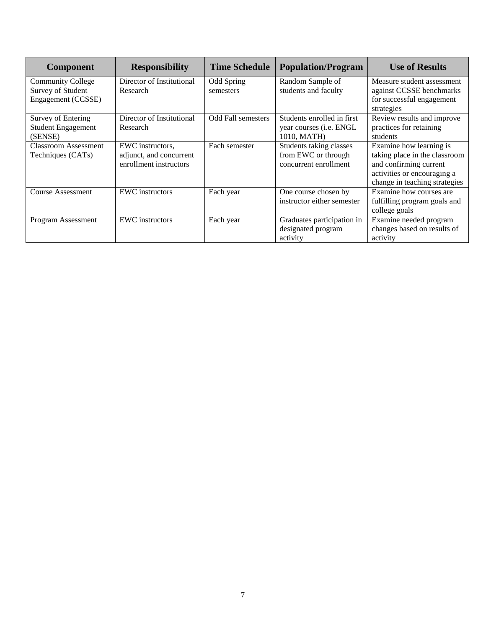| <b>Component</b>            | <b>Responsibility</b>     | <b>Time Schedule</b>      | <b>Population/Program</b>       | <b>Use of Results</b>         |
|-----------------------------|---------------------------|---------------------------|---------------------------------|-------------------------------|
| <b>Community College</b>    | Director of Institutional | Odd Spring                | Random Sample of                | Measure student assessment    |
| Survey of Student           | Research                  | semesters                 | students and faculty            | against CCSSE benchmarks      |
| Engagement (CCSSE)          |                           |                           |                                 | for successful engagement     |
|                             |                           |                           |                                 | strategies                    |
| Survey of Entering          | Director of Institutional | <b>Odd Fall semesters</b> | Students enrolled in first      | Review results and improve    |
| <b>Student Engagement</b>   | Research                  |                           | year courses ( <i>i.e.</i> ENGL | practices for retaining       |
| (SENSE)                     |                           |                           | 1010, MATH)                     | students                      |
| <b>Classroom Assessment</b> | EWC instructors.          | Each semester             | Students taking classes         | Examine how learning is       |
| Techniques (CATs)           | adjunct, and concurrent   |                           | from EWC or through             | taking place in the classroom |
|                             | enrollment instructors    |                           | concurrent enrollment           | and confirming current        |
|                             |                           |                           |                                 | activities or encouraging a   |
|                             |                           |                           |                                 | change in teaching strategies |
| Course Assessment           | <b>EWC</b> instructors    | Each year                 | One course chosen by            | Examine how courses are       |
|                             |                           |                           | instructor either semester      | fulfilling program goals and  |
|                             |                           |                           |                                 | college goals                 |
| Program Assessment          | <b>EWC</b> instructors    | Each year                 | Graduates participation in      | Examine needed program        |
|                             |                           |                           | designated program              | changes based on results of   |
|                             |                           |                           | activity                        | activity                      |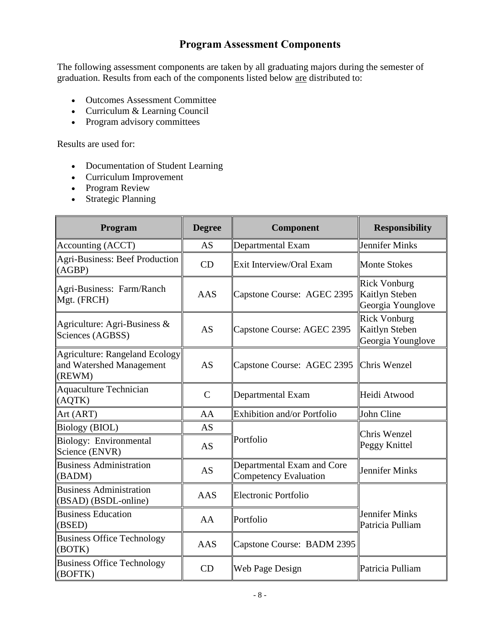## **Program Assessment Components**

The following assessment components are taken by all graduating majors during the semester of graduation. Results from each of the components listed below are distributed to:

- Outcomes Assessment Committee
- Curriculum & Learning Council
- Program advisory committees

Results are used for:

- Documentation of Student Learning
- Curriculum Improvement
- Program Review
- Strategic Planning

| Program                                                                     | <b>Degree</b> | <b>Component</b>                                           | <b>Responsibility</b>                                      |  |
|-----------------------------------------------------------------------------|---------------|------------------------------------------------------------|------------------------------------------------------------|--|
| Accounting (ACCT)                                                           | AS            | Departmental Exam                                          | <b>Jennifer Minks</b>                                      |  |
| Agri-Business: Beef Production<br>(AGBP)                                    | CD            | Exit Interview/Oral Exam                                   | <b>Monte Stokes</b>                                        |  |
| Agri-Business: Farm/Ranch<br>Mgt. (FRCH)                                    | <b>AAS</b>    | Capstone Course: AGEC 2395                                 | <b>Rick Vonburg</b><br>Kaitlyn Steben<br>Georgia Younglove |  |
| Agriculture: Agri-Business &<br>Sciences (AGBSS)                            | <b>AS</b>     | Capstone Course: AGEC 2395                                 | <b>Rick Vonburg</b><br>Kaitlyn Steben<br>Georgia Younglove |  |
| <b>Agriculture: Rangeland Ecology</b><br>and Watershed Management<br>(REWM) | <b>AS</b>     | Capstone Course: AGEC 2395                                 | Chris Wenzel                                               |  |
| <b>Aquaculture Technician</b><br>(AQTK)                                     | $\mathcal{C}$ | Departmental Exam                                          | Heidi Atwood                                               |  |
| Art (ART)                                                                   | AA            | Exhibition and/or Portfolio                                | John Cline                                                 |  |
| Biology (BIOL)                                                              | AS            |                                                            | Chris Wenzel                                               |  |
| Biology: Environmental<br>Science (ENVR)                                    | AS            | Portfolio                                                  | Peggy Knittel                                              |  |
| <b>Business Administration</b><br>(BADM)                                    | <b>AS</b>     | Departmental Exam and Core<br><b>Competency Evaluation</b> | Jennifer Minks                                             |  |
| <b>Business Administration</b><br>(BSAD) (BSDL-online)                      | <b>AAS</b>    | Electronic Portfolio                                       |                                                            |  |
| <b>Business Education</b><br>(BSED)                                         | AA            | Portfolio                                                  | <b>Jennifer Minks</b><br>Patricia Pulliam                  |  |
| <b>Business Office Technology</b><br>(BOTK)                                 | <b>AAS</b>    | Capstone Course: BADM 2395                                 |                                                            |  |
| <b>Business Office Technology</b><br>(BOFTK)                                | CD            | Web Page Design                                            | Patricia Pulliam                                           |  |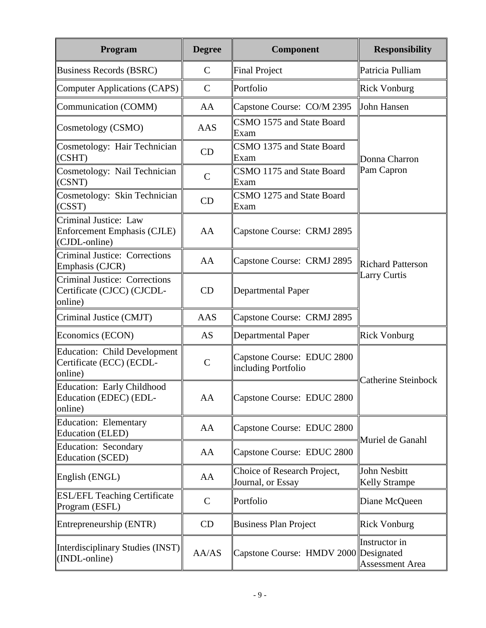| Program                                                                       | <b>Degree</b> | Component                                         | <b>Responsibility</b>                           |  |
|-------------------------------------------------------------------------------|---------------|---------------------------------------------------|-------------------------------------------------|--|
| Business Records (BSRC)                                                       | $\mathcal{C}$ | <b>Final Project</b>                              | Patricia Pulliam                                |  |
| Computer Applications (CAPS)                                                  | $\mathcal{C}$ | Portfolio                                         | <b>Rick Vonburg</b>                             |  |
| Communication (COMM)                                                          | AA            | Capstone Course: CO/M 2395                        | John Hansen                                     |  |
| Cosmetology (CSMO)                                                            | AAS           | CSMO 1575 and State Board<br>Exam                 |                                                 |  |
| Cosmetology: Hair Technician<br>(CSHT)                                        | CD            | CSMO 1375 and State Board<br>Exam                 | Donna Charron                                   |  |
| Cosmetology: Nail Technician<br>(CSNT)                                        | $\mathsf{C}$  | CSMO 1175 and State Board<br>Exam                 | Pam Capron                                      |  |
| Cosmetology: Skin Technician<br>(CSST)                                        | CD            | CSMO 1275 and State Board<br>Exam                 |                                                 |  |
| Criminal Justice: Law<br>Enforcement Emphasis (CJLE)<br>$ CDL$ -online)       | AA            | Capstone Course: CRMJ 2895                        |                                                 |  |
| Criminal Justice: Corrections<br>Emphasis (CJCR)                              | AA            | Capstone Course: CRMJ 2895                        | <b>Richard Patterson</b><br><b>Larry Curtis</b> |  |
| <b>Criminal Justice: Corrections</b><br>Certificate (CJCC) (CJCDL-<br>online) | CD            | <b>Departmental Paper</b>                         |                                                 |  |
| Criminal Justice (CMJT)                                                       | AAS           | Capstone Course: CRMJ 2895                        |                                                 |  |
| Economics (ECON)                                                              | <b>AS</b>     | <b>Departmental Paper</b>                         | <b>Rick Vonburg</b>                             |  |
| <b>Education: Child Development</b><br>Certificate (ECC) (ECDL-<br>online)    | $\mathcal{C}$ | Capstone Course: EDUC 2800<br>including Portfolio |                                                 |  |
| Education: Early Childhood<br>Education (EDEC) (EDL-<br>online)               | AA            | Capstone Course: EDUC 2800                        | <b>Catherine Steinbock</b>                      |  |
| Education: Elementary<br>Education (ELED)                                     | AA            | Capstone Course: EDUC 2800                        | Muriel de Ganahl                                |  |
| <b>Education: Secondary</b><br>Education (SCED)                               | AA            | Capstone Course: EDUC 2800                        |                                                 |  |
| English (ENGL)                                                                | AA            | Choice of Research Project,<br>Journal, or Essay  | <b>John Nesbitt</b><br><b>Kelly Strampe</b>     |  |
| <b>ESL/EFL Teaching Certificate</b><br>Program (ESFL)                         | $\mathbf C$   | Portfolio                                         | Diane McQueen                                   |  |
| Entrepreneurship (ENTR)                                                       | CD            | <b>Business Plan Project</b>                      | <b>Rick Vonburg</b>                             |  |
| Interdisciplinary Studies (INST)<br>$(NDL$ -online)                           | AA/AS         | Capstone Course: HMDV 2000 Designated             | Instructor in<br><b>Assessment Area</b>         |  |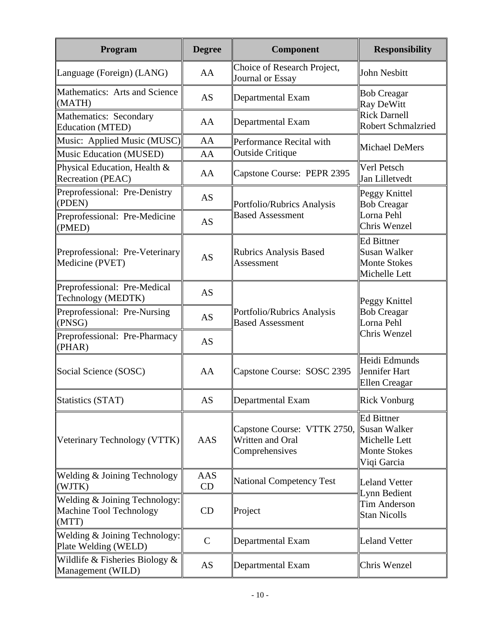| Program                                                           | <b>Degree</b>                                            | Component                                                         | <b>Responsibility</b>                                                                    |  |
|-------------------------------------------------------------------|----------------------------------------------------------|-------------------------------------------------------------------|------------------------------------------------------------------------------------------|--|
| Language (Foreign) (LANG)                                         | AA                                                       | Choice of Research Project,<br>Journal or Essay                   | John Nesbitt                                                                             |  |
| Mathematics: Arts and Science<br>(MATH)                           | AS                                                       | Departmental Exam                                                 | <b>Bob Creagar</b><br>Ray DeWitt                                                         |  |
| Mathematics: Secondary<br>Education (MTED)                        | AA                                                       | Departmental Exam                                                 | <b>Rick Darnell</b><br><b>Robert Schmalzried</b>                                         |  |
| Music: Applied Music (MUSC)                                       | AA                                                       | Performance Recital with                                          | Michael DeMers                                                                           |  |
| Music Education (MUSED)                                           | AA                                                       | <b>Outside Critique</b>                                           |                                                                                          |  |
| Physical Education, Health &<br>Recreation (PEAC)                 | AA                                                       | Capstone Course: PEPR 2395                                        | Verl Petsch<br>Jan Lilletvedt                                                            |  |
| Preprofessional: Pre-Denistry<br>(PDEN)                           | AS                                                       | Portfolio/Rubrics Analysis                                        | Peggy Knittel<br><b>Bob Creagar</b>                                                      |  |
| Preprofessional: Pre-Medicine<br>(PMED)                           | AS                                                       | <b>Based Assessment</b>                                           | Lorna Pehl<br>Chris Wenzel                                                               |  |
| Preprofessional: Pre-Veterinary<br>Medicine (PVET)                | <b>Rubrics Analysis Based</b><br><b>AS</b><br>Assessment |                                                                   | <b>Ed Bittner</b><br>Susan Walker<br><b>Monte Stokes</b><br>Michelle Lett                |  |
| Preprofessional: Pre-Medical<br>Technology (MEDTK)                | <b>AS</b>                                                |                                                                   | Peggy Knittel<br><b>Bob Creagar</b><br>Lorna Pehl                                        |  |
| Preprofessional: Pre-Nursing<br>(PNSG)                            | AS                                                       | Portfolio/Rubrics Analysis<br><b>Based Assessment</b>             |                                                                                          |  |
| Preprofessional: Pre-Pharmacy<br>(PHAR)                           | AS                                                       |                                                                   | <b>Chris Wenzel</b>                                                                      |  |
| Social Science (SOSC)                                             | AA                                                       | Capstone Course: SOSC 2395                                        | Heidi Edmunds<br>Jennifer Hart<br><b>Ellen</b> Creagar                                   |  |
| Statistics (STAT)                                                 | AS                                                       | Departmental Exam                                                 | <b>Rick Vonburg</b>                                                                      |  |
| Veterinary Technology (VTTK)                                      | AAS                                                      | Capstone Course: VTTK 2750,<br>Written and Oral<br>Comprehensives | <b>Ed Bittner</b><br>Susan Walker<br>Michelle Lett<br><b>Monte Stokes</b><br>Viqi Garcia |  |
| Welding & Joining Technology<br>(WJTK)                            | AAS<br>CD                                                | National Competency Test                                          | <b>Leland Vetter</b>                                                                     |  |
| Welding & Joining Technology:<br>Machine Tool Technology<br>(MTT) | CD                                                       | Project                                                           | Lynn Bedient<br>Tim Anderson<br><b>Stan Nicolls</b>                                      |  |
| Welding & Joining Technology:<br>Plate Welding (WELD)             | $\mathsf{C}$                                             | Departmental Exam                                                 | <b>Leland Vetter</b>                                                                     |  |
| Wildlife $&$ Fisheries Biology $&$<br>Management (WILD)           | AS                                                       | Departmental Exam                                                 | Chris Wenzel                                                                             |  |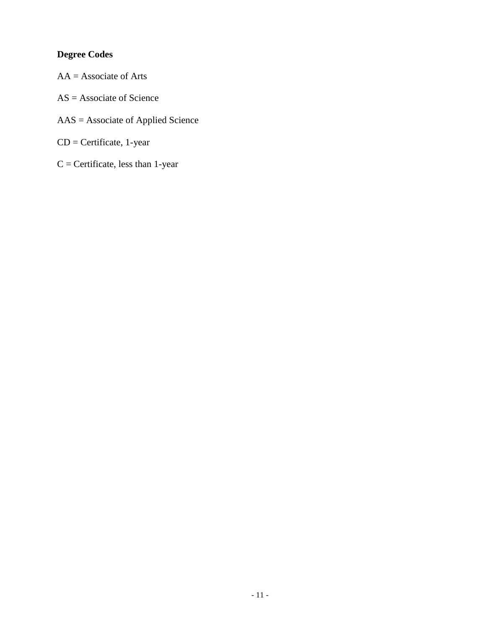## **Degree Codes**

- $AA =$  Associate of Arts
- AS = Associate of Science
- AAS = Associate of Applied Science
- CD = Certificate, 1-year
- $C =$  Certificate, less than 1-year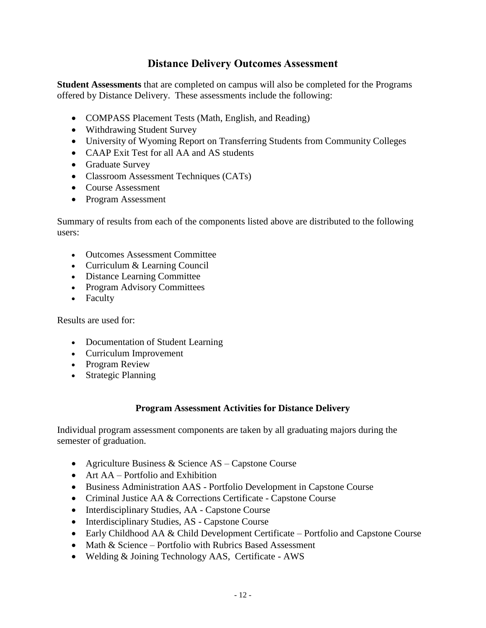### **Distance Delivery Outcomes Assessment**

**Student Assessments** that are completed on campus will also be completed for the Programs offered by Distance Delivery. These assessments include the following:

- COMPASS Placement Tests (Math, English, and Reading)
- Withdrawing Student Survey
- University of Wyoming Report on Transferring Students from Community Colleges
- CAAP Exit Test for all AA and AS students
- Graduate Survey
- Classroom Assessment Techniques (CATs)
- Course Assessment
- Program Assessment

Summary of results from each of the components listed above are distributed to the following users:

- Outcomes Assessment Committee
- Curriculum & Learning Council
- Distance Learning Committee
- Program Advisory Committees
- Faculty

Results are used for:

- Documentation of Student Learning
- Curriculum Improvement
- Program Review
- Strategic Planning

#### **Program Assessment Activities for Distance Delivery**

Individual program assessment components are taken by all graduating majors during the semester of graduation.

- Agriculture Business & Science AS Capstone Course
- Art AA Portfolio and Exhibition
- Business Administration AAS Portfolio Development in Capstone Course
- Criminal Justice AA & Corrections Certificate Capstone Course
- Interdisciplinary Studies, AA Capstone Course
- Interdisciplinary Studies, AS Capstone Course
- Early Childhood AA & Child Development Certificate Portfolio and Capstone Course
- Math & Science Portfolio with Rubrics Based Assessment
- Welding & Joining Technology AAS, Certificate AWS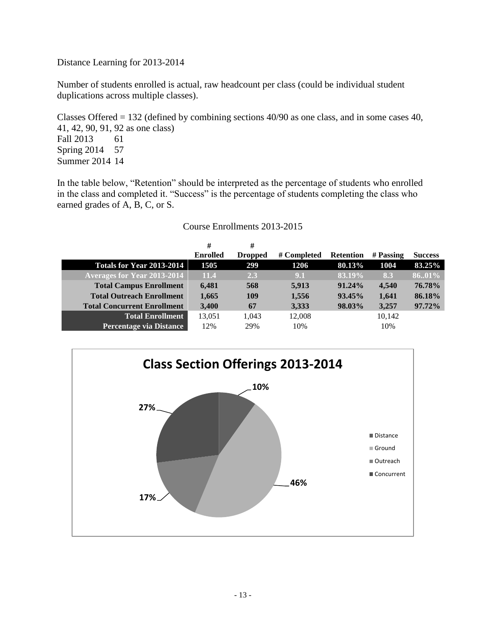Distance Learning for 2013-2014

Number of students enrolled is actual, raw headcount per class (could be individual student duplications across multiple classes).

Classes Offered = 132 (defined by combining sections 40/90 as one class, and in some cases 40, 41, 42, 90, 91, 92 as one class) Fall 2013 61 Spring 2014 57 Summer 2014 14

In the table below, "Retention" should be interpreted as the percentage of students who enrolled in the class and completed it. "Success" is the percentage of students completing the class who earned grades of A, B, C, or S.

#### Course Enrollments 2013-2015

|                                    | #               | #              |             |                  |           |                |
|------------------------------------|-----------------|----------------|-------------|------------------|-----------|----------------|
|                                    | <b>Enrolled</b> | <b>Dropped</b> | # Completed | <b>Retention</b> | # Passing | <b>Success</b> |
| <b>Totals for Year 2013-2014</b>   | 1505            | 299            | 1206        | 80.13%           | 1004      | 83.25%         |
| <b>Averages for Year 2013-2014</b> | 11.4            | 2.3            | 9.1         | 83.19%           | 8.3       | 8601%          |
| <b>Total Campus Enrollment</b>     | 6,481           | 568            | 5,913       | $91.24\%$        | 4.540     | 76.78%         |
| <b>Total Outreach Enrollment</b>   | 1,665           | 109            | 1,556       | 93.45%           | 1,641     | 86.18%         |
| <b>Total Concurrent Enrollment</b> | 3,400           | 67             | 3,333       | 98.03%           | 3,257     | 97.72%         |
| <b>Total Enrollment</b>            | 13,051          | 1,043          | 12,008      |                  | 10,142    |                |
| <b>Percentage via Distance</b>     | 12%             | 29%            | 10%         |                  | 10%       |                |

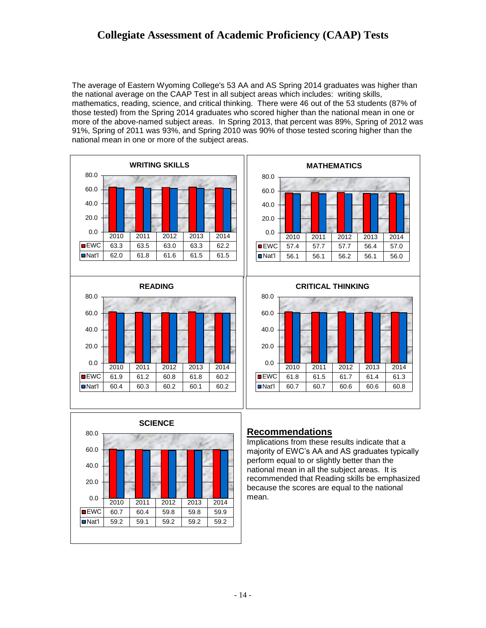## **Collegiate Assessment of Academic Proficiency (CAAP) Tests**

The average of Eastern Wyoming College's 53 AA and AS Spring 2014 graduates was higher than the national average on the CAAP Test in all subject areas which includes: writing skills, mathematics, reading, science, and critical thinking. There were 46 out of the 53 students (87% of those tested) from the Spring 2014 graduates who scored higher than the national mean in one or more of the above-named subject areas. In Spring 2013, that percent was 89%, Spring of 2012 was 91%, Spring of 2011 was 93%, and Spring 2010 was 90% of those tested scoring higher than the national mean in one or more of the subject areas.





#### **Recommendations**

Implications from these results indicate that a majority of EWC's AA and AS graduates typically perform equal to or slightly better than the national mean in all the subject areas. It is recommended that Reading skills be emphasized because the scores are equal to the national mean.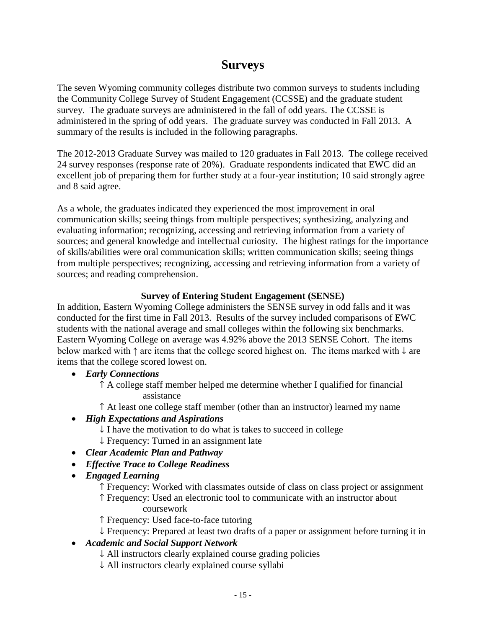## **Surveys**

The seven Wyoming community colleges distribute two common surveys to students including the Community College Survey of Student Engagement (CCSSE) and the graduate student survey. The graduate surveys are administered in the fall of odd years. The CCSSE is administered in the spring of odd years. The graduate survey was conducted in Fall 2013. A summary of the results is included in the following paragraphs.

The 2012-2013 Graduate Survey was mailed to 120 graduates in Fall 2013. The college received 24 survey responses (response rate of 20%). Graduate respondents indicated that EWC did an excellent job of preparing them for further study at a four-year institution; 10 said strongly agree and 8 said agree.

As a whole, the graduates indicated they experienced the most improvement in oral communication skills; seeing things from multiple perspectives; synthesizing, analyzing and evaluating information; recognizing, accessing and retrieving information from a variety of sources; and general knowledge and intellectual curiosity. The highest ratings for the importance of skills/abilities were oral communication skills; written communication skills; seeing things from multiple perspectives; recognizing, accessing and retrieving information from a variety of sources; and reading comprehension.

#### **Survey of Entering Student Engagement (SENSE)**

In addition, Eastern Wyoming College administers the SENSE survey in odd falls and it was conducted for the first time in Fall 2013. Results of the survey included comparisons of EWC students with the national average and small colleges within the following six benchmarks. Eastern Wyoming College on average was 4.92% above the 2013 SENSE Cohort. The items below marked with ↑ are items that the college scored highest on. The items marked with ↓ are items that the college scored lowest on.

*Early Connections*

↑ A college staff member helped me determine whether I qualified for financial assistance

↑ At least one college staff member (other than an instructor) learned my name

- *High Expectations and Aspirations*
	- $\downarrow$  I have the motivation to do what is takes to succeed in college
	- ↓ Frequency: Turned in an assignment late
- *Clear Academic Plan and Pathway*
- *Effective Trace to College Readiness*
- *Engaged Learning*

↑ Frequency: Worked with classmates outside of class on class project or assignment ↑ Frequency: Used an electronic tool to communicate with an instructor about coursework

↑ Frequency: Used face-to-face tutoring

↓ Frequency: Prepared at least two drafts of a paper or assignment before turning it in

#### *Academic and Social Support Network*

- ↓ All instructors clearly explained course grading policies
- ↓ All instructors clearly explained course syllabi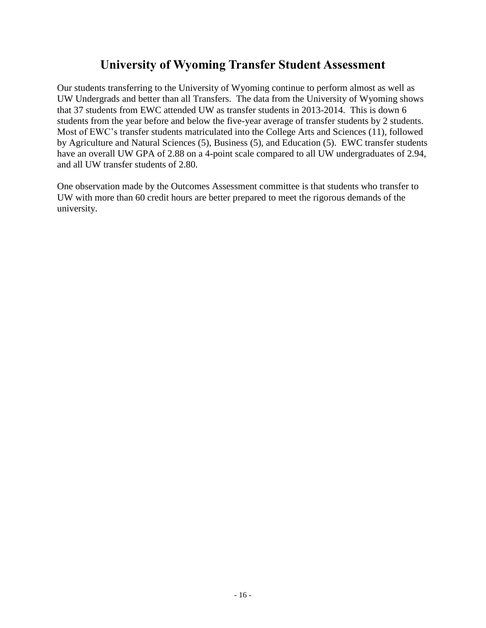## **University of Wyoming Transfer Student Assessment**

Our students transferring to the University of Wyoming continue to perform almost as well as UW Undergrads and better than all Transfers. The data from the University of Wyoming shows that 37 students from EWC attended UW as transfer students in 2013-2014. This is down 6 students from the year before and below the five-year average of transfer students by 2 students. Most of EWC's transfer students matriculated into the College Arts and Sciences (11), followed by Agriculture and Natural Sciences (5), Business (5), and Education (5). EWC transfer students have an overall UW GPA of 2.88 on a 4-point scale compared to all UW undergraduates of 2.94, and all UW transfer students of 2.80.

One observation made by the Outcomes Assessment committee is that students who transfer to UW with more than 60 credit hours are better prepared to meet the rigorous demands of the university.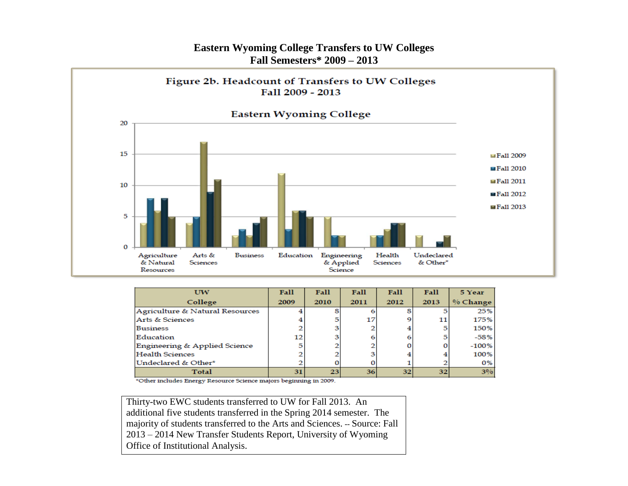#### **Eastern Wyoming College Transfers to UW Colleges Fall Semesters\* 2009 – 2013**



| UW                              | Fall | Fall | Fall | Fall            | Fall            | 5 Year     |
|---------------------------------|------|------|------|-----------------|-----------------|------------|
| College                         | 2009 | 2010 | 2011 | 2012            | 2013            | $% Change$ |
| Agriculture & Natural Resources |      |      |      |                 |                 | 25%        |
| Arts & Sciences                 |      |      | 17   |                 | 11              | 175%       |
| <b>Business</b>                 |      |      |      |                 | 5               | 150%       |
| Education                       | 12   |      |      |                 | 5               | $-58%$     |
| Engineering & Applied Science   |      |      |      |                 |                 | $-100%$    |
| <b>Health Sciences</b>          |      |      |      |                 |                 | 100%       |
| Undeclared & Other*             |      |      |      |                 |                 | 0%         |
| <b>Total</b>                    | 31   | 23   | 36   | 32 <sub>1</sub> | 32 <sub>1</sub> | $3\%$      |

\*Other includes Energy Resource Science majors beginning in 2009.

- 17 - Thirty-two EWC students transferred to UW for Fall 2013. An additional five students transferred in the Spring 2014 semester. The majority of students transferred to the Arts and Sciences. -- Source: Fall 2013 – 2014 New Transfer Students Report, University of Wyoming Office of Institutional Analysis.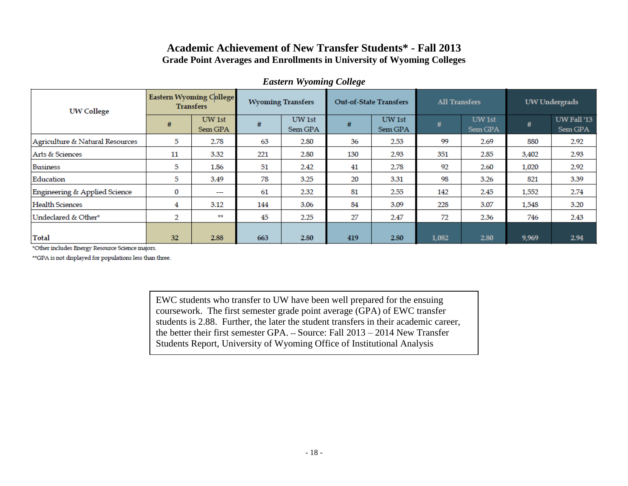#### **Academic Achievement of New Transfer Students\* - Fall 2013 Grade Point Averages and Enrollments in University of Wyoming Colleges**

| <b>UW College</b>               | <b>Eastern Wyoming College</b><br><b>Transfers</b> |                          | <b>Wyoming Transfers</b> |                   | <b>Out-of-State Transfers</b> |                   | <b>All Transfers</b> |                   | UW Undergrads |                        |
|---------------------------------|----------------------------------------------------|--------------------------|--------------------------|-------------------|-------------------------------|-------------------|----------------------|-------------------|---------------|------------------------|
|                                 | #                                                  | UW 1st<br>Sem GPA        | #                        | UW 1st<br>Sem GPA | #                             | UW 1st<br>Sem GPA | #                    | UW 1st<br>Sem GPA | #             | UW Fall '13<br>Sem GPA |
| Agriculture & Natural Resources | 5                                                  | 2.78                     | 63                       | 2.80              | 36                            | 2.53              | 99                   | 2.69              | 880           | 2.92                   |
| Arts & Sciences                 | 11                                                 | 3.32                     | 221                      | 2.80              | 130                           | 2.93              | 351                  | 2.85              | 3,402         | 2.93                   |
| <b>Business</b>                 | 5                                                  | 1.86                     | 51                       | 2.42              | 41                            | 2.78              | 92                   | 2.60              | 1,020         | 2.92                   |
| Education                       | 5                                                  | 3.49                     | 78                       | 3.25              | 20                            | 3.31              | 98                   | 3.26              | 821           | 3.39                   |
| Engineering & Applied Science   | 0                                                  | $\overline{\phantom{a}}$ | 61                       | 2.32              | 81                            | 2.55              | 142                  | 2.45              | 1,552         | 2.74                   |
| <b>Health Sciences</b>          | 4                                                  | 3.12                     | 144                      | 3.06              | 84                            | 3.09              | 228                  | 3.07              | 1,548         | 3.20                   |
| Undeclared & Other*             | 2                                                  | **                       | 45                       | 2.25              | 27                            | 2.47              | 72                   | 2.36              | 746           | 2.43                   |
| <b>Total</b>                    | 32                                                 | 2.88                     | 663                      | 2.80              | 419                           | 2.80              | 1,082                | 2.80              | 9,969         | 2.94                   |

#### *Eastern Wyoming College*

\*Other includes Energy Resource Science majors.

\*\*GPA is not displayed for populations less than three.

EWC students who transfer to UW have been well prepared for the ensuing coursework. The first semester grade point average (GPA) of EWC transfer students is 2.88. Further, the later the student transfers in their academic career, the better their first semester GPA. -- Source: Fall 2013 – 2014 New Transfer Students Report, University of Wyoming Office of Institutional Analysis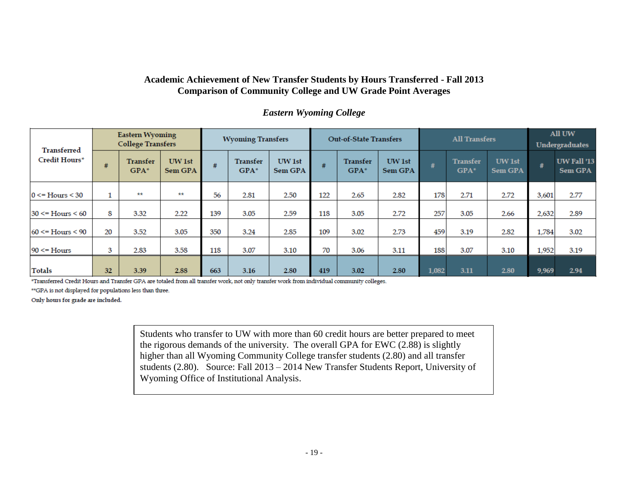#### **Academic Achievement of New Transfer Students by Hours Transferred - Fall 2013 Comparison of Community College and UW Grade Point Averages**

|  | <b>Eastern Wyoming College</b> |  |
|--|--------------------------------|--|
|--|--------------------------------|--|

| <b>Transferred</b>      |    | <b>Eastern Wyoming</b><br><b>College Transfers</b> |                          | <b>Wyoming Transfers</b> |                    | <b>Out-of-State Transfers</b> |     |                    | <b>All Transfers</b>     |       |                           | All UW<br><b>Undergraduates</b> |       |                               |
|-------------------------|----|----------------------------------------------------|--------------------------|--------------------------|--------------------|-------------------------------|-----|--------------------|--------------------------|-------|---------------------------|---------------------------------|-------|-------------------------------|
| Credit Hours*           | #  | <b>Transfer</b><br>$GPA*$                          | UW 1st<br><b>Sem GPA</b> | #                        | Transfer<br>$GPA*$ | UW 1st<br><b>Sem GPA</b>      | #   | Transfer<br>$GPA*$ | UW 1st<br><b>Sem GPA</b> | #     | <b>Transfer</b><br>$GPA*$ | <b>UW</b> 1st<br><b>Sem GPA</b> | #     | UW Fall '13<br><b>Sem GPA</b> |
| $0 \leq Hours \leq 30$  |    | **                                                 | **                       | 56                       | 2.81               | 2.50                          | 122 | 2.65               | 2.82                     | 178   | 2.71                      | 2.72                            | 3,601 | 2.77                          |
| $30 \leq Hours \leq 60$ | 8  | 3.32                                               | 2.22                     | 139                      | 3.05               | 2.59                          | 118 | 3.05               | 2.72                     | 257   | 3.05                      | 2.66                            | 2,632 | 2.89                          |
| $60 \leq Hours \leq 90$ | 20 | 3.52                                               | 3.05                     | 350                      | 3.24               | 2.85                          | 109 | 3.02               | 2.73                     | 459   | 3.19                      | 2.82                            | 1,784 | 3.02                          |
| $90 \leq Hours$         | 3  | 2.83                                               | 3.58                     | 118                      | 3.07               | 3.10                          | 70  | 3.06               | 3.11                     | 188   | 3.07                      | 3.10                            | 1,952 | 3.19                          |
| <b>Totals</b>           | 32 | 3.39                                               | 2.88                     | 663                      | 3.16               | 2.80                          | 419 | 3.02               | 2.80                     | 1,082 | 3.11                      | 2.80                            | 9,969 | 2.94                          |

\*Transferred Credit Hours and Transfer GPA are totaled from all transfer work, not only transfer work from individual community colleges.

\*\*GPA is not displayed for populations less than three.

Only hours for grade are included.

Students who transfer to UW with more than 60 credit hours are better prepared to meet the rigorous demands of the university. The overall GPA for EWC (2.88) is slightly higher than all Wyoming Community College transfer students (2.80) and all transfer students (2.80). Source: Fall 2013 – 2014 New Transfer Students Report, University of Wyoming Office of Institutional Analysis.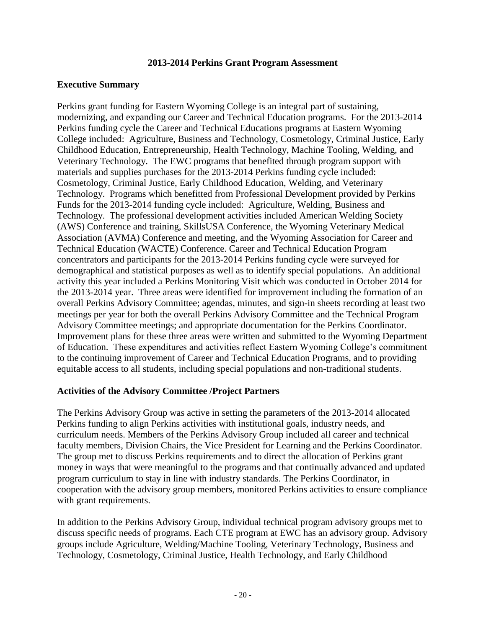#### **2013-2014 Perkins Grant Program Assessment**

#### **Executive Summary**

Perkins grant funding for Eastern Wyoming College is an integral part of sustaining, modernizing, and expanding our Career and Technical Education programs. For the 2013-2014 Perkins funding cycle the Career and Technical Educations programs at Eastern Wyoming College included: Agriculture, Business and Technology, Cosmetology, Criminal Justice, Early Childhood Education, Entrepreneurship, Health Technology, Machine Tooling, Welding, and Veterinary Technology. The EWC programs that benefited through program support with materials and supplies purchases for the 2013-2014 Perkins funding cycle included: Cosmetology, Criminal Justice, Early Childhood Education, Welding, and Veterinary Technology. Programs which benefitted from Professional Development provided by Perkins Funds for the 2013-2014 funding cycle included: Agriculture, Welding, Business and Technology. The professional development activities included American Welding Society (AWS) Conference and training, SkillsUSA Conference, the Wyoming Veterinary Medical Association (AVMA) Conference and meeting, and the Wyoming Association for Career and Technical Education (WACTE) Conference. Career and Technical Education Program concentrators and participants for the 2013-2014 Perkins funding cycle were surveyed for demographical and statistical purposes as well as to identify special populations. An additional activity this year included a Perkins Monitoring Visit which was conducted in October 2014 for the 2013-2014 year. Three areas were identified for improvement including the formation of an overall Perkins Advisory Committee; agendas, minutes, and sign-in sheets recording at least two meetings per year for both the overall Perkins Advisory Committee and the Technical Program Advisory Committee meetings; and appropriate documentation for the Perkins Coordinator. Improvement plans for these three areas were written and submitted to the Wyoming Department of Education. These expenditures and activities reflect Eastern Wyoming College's commitment to the continuing improvement of Career and Technical Education Programs, and to providing equitable access to all students, including special populations and non-traditional students.

#### **Activities of the Advisory Committee /Project Partners**

The Perkins Advisory Group was active in setting the parameters of the 2013-2014 allocated Perkins funding to align Perkins activities with institutional goals, industry needs, and curriculum needs. Members of the Perkins Advisory Group included all career and technical faculty members, Division Chairs, the Vice President for Learning and the Perkins Coordinator. The group met to discuss Perkins requirements and to direct the allocation of Perkins grant money in ways that were meaningful to the programs and that continually advanced and updated program curriculum to stay in line with industry standards. The Perkins Coordinator, in cooperation with the advisory group members, monitored Perkins activities to ensure compliance with grant requirements.

In addition to the Perkins Advisory Group, individual technical program advisory groups met to discuss specific needs of programs. Each CTE program at EWC has an advisory group. Advisory groups include Agriculture, Welding/Machine Tooling, Veterinary Technology, Business and Technology, Cosmetology, Criminal Justice, Health Technology, and Early Childhood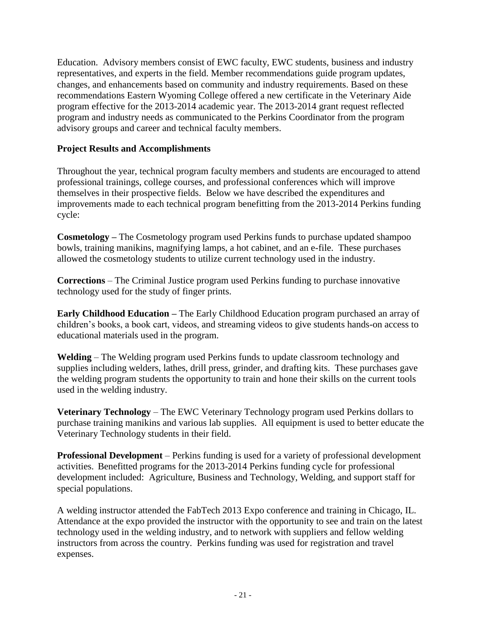Education. Advisory members consist of EWC faculty, EWC students, business and industry representatives, and experts in the field. Member recommendations guide program updates, changes, and enhancements based on community and industry requirements. Based on these recommendations Eastern Wyoming College offered a new certificate in the Veterinary Aide program effective for the 2013-2014 academic year. The 2013-2014 grant request reflected program and industry needs as communicated to the Perkins Coordinator from the program advisory groups and career and technical faculty members.

#### **Project Results and Accomplishments**

Throughout the year, technical program faculty members and students are encouraged to attend professional trainings, college courses, and professional conferences which will improve themselves in their prospective fields. Below we have described the expenditures and improvements made to each technical program benefitting from the 2013-2014 Perkins funding cycle:

**Cosmetology –** The Cosmetology program used Perkins funds to purchase updated shampoo bowls, training manikins, magnifying lamps, a hot cabinet, and an e-file. These purchases allowed the cosmetology students to utilize current technology used in the industry.

**Corrections** – The Criminal Justice program used Perkins funding to purchase innovative technology used for the study of finger prints.

**Early Childhood Education –** The Early Childhood Education program purchased an array of children's books, a book cart, videos, and streaming videos to give students hands-on access to educational materials used in the program.

**Welding** – The Welding program used Perkins funds to update classroom technology and supplies including welders, lathes, drill press, grinder, and drafting kits. These purchases gave the welding program students the opportunity to train and hone their skills on the current tools used in the welding industry.

**Veterinary Technology** – The EWC Veterinary Technology program used Perkins dollars to purchase training manikins and various lab supplies. All equipment is used to better educate the Veterinary Technology students in their field.

**Professional Development** – Perkins funding is used for a variety of professional development activities. Benefitted programs for the 2013-2014 Perkins funding cycle for professional development included: Agriculture, Business and Technology, Welding, and support staff for special populations.

A welding instructor attended the FabTech 2013 Expo conference and training in Chicago, IL. Attendance at the expo provided the instructor with the opportunity to see and train on the latest technology used in the welding industry, and to network with suppliers and fellow welding instructors from across the country. Perkins funding was used for registration and travel expenses.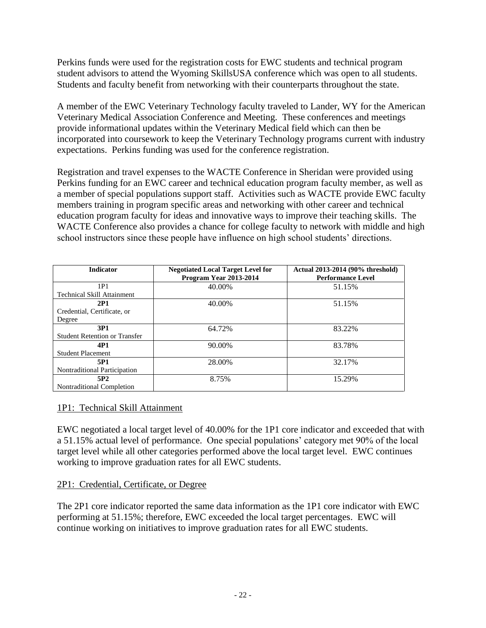Perkins funds were used for the registration costs for EWC students and technical program student advisors to attend the Wyoming SkillsUSA conference which was open to all students. Students and faculty benefit from networking with their counterparts throughout the state.

A member of the EWC Veterinary Technology faculty traveled to Lander, WY for the American Veterinary Medical Association Conference and Meeting. These conferences and meetings provide informational updates within the Veterinary Medical field which can then be incorporated into coursework to keep the Veterinary Technology programs current with industry expectations. Perkins funding was used for the conference registration.

Registration and travel expenses to the WACTE Conference in Sheridan were provided using Perkins funding for an EWC career and technical education program faculty member, as well as a member of special populations support staff. Activities such as WACTE provide EWC faculty members training in program specific areas and networking with other career and technical education program faculty for ideas and innovative ways to improve their teaching skills. The WACTE Conference also provides a chance for college faculty to network with middle and high school instructors since these people have influence on high school students' directions.

| <b>Indicator</b>                     | <b>Negotiated Local Target Level for</b><br>Program Year 2013-2014 | Actual 2013-2014 (90% threshold)<br><b>Performance Level</b> |
|--------------------------------------|--------------------------------------------------------------------|--------------------------------------------------------------|
| 1P1                                  | 40.00%                                                             | 51.15%                                                       |
| <b>Technical Skill Attainment</b>    |                                                                    |                                                              |
| 2P1                                  | 40.00%                                                             | 51.15%                                                       |
| Credential, Certificate, or          |                                                                    |                                                              |
| Degree                               |                                                                    |                                                              |
| 3P1                                  | 64.72%                                                             | 83.22%                                                       |
| <b>Student Retention or Transfer</b> |                                                                    |                                                              |
| 4P1                                  | 90.00%                                                             | 83.78%                                                       |
| <b>Student Placement</b>             |                                                                    |                                                              |
| 5P1                                  | 28.00%                                                             | 32.17%                                                       |
| Nontraditional Participation         |                                                                    |                                                              |
| 5P <sub>2</sub>                      | 8.75%                                                              | 15.29%                                                       |
| Nontraditional Completion            |                                                                    |                                                              |

#### 1P1: Technical Skill Attainment

EWC negotiated a local target level of 40.00% for the 1P1 core indicator and exceeded that with a 51.15% actual level of performance. One special populations' category met 90% of the local target level while all other categories performed above the local target level. EWC continues working to improve graduation rates for all EWC students.

#### 2P1: Credential, Certificate, or Degree

The 2P1 core indicator reported the same data information as the 1P1 core indicator with EWC performing at 51.15%; therefore, EWC exceeded the local target percentages. EWC will continue working on initiatives to improve graduation rates for all EWC students.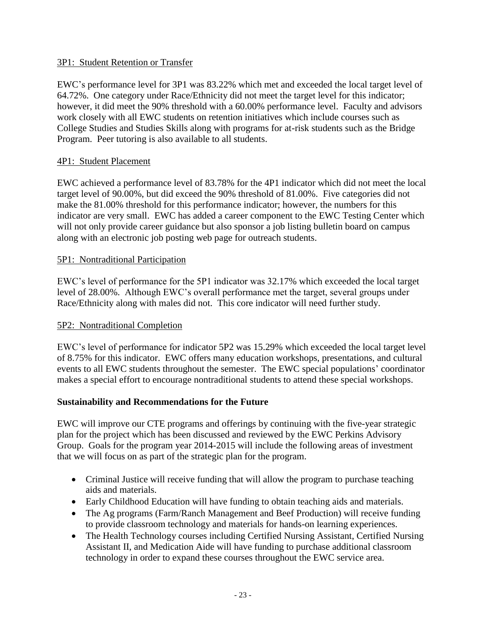#### 3P1: Student Retention or Transfer

EWC's performance level for 3P1 was 83.22% which met and exceeded the local target level of 64.72%. One category under Race/Ethnicity did not meet the target level for this indicator; however, it did meet the 90% threshold with a 60.00% performance level. Faculty and advisors work closely with all EWC students on retention initiatives which include courses such as College Studies and Studies Skills along with programs for at-risk students such as the Bridge Program. Peer tutoring is also available to all students.

#### 4P1: Student Placement

EWC achieved a performance level of 83.78% for the 4P1 indicator which did not meet the local target level of 90.00%, but did exceed the 90% threshold of 81.00%. Five categories did not make the 81.00% threshold for this performance indicator; however, the numbers for this indicator are very small. EWC has added a career component to the EWC Testing Center which will not only provide career guidance but also sponsor a job listing bulletin board on campus along with an electronic job posting web page for outreach students.

#### 5P1: Nontraditional Participation

EWC's level of performance for the 5P1 indicator was 32.17% which exceeded the local target level of 28.00%. Although EWC's overall performance met the target, several groups under Race/Ethnicity along with males did not. This core indicator will need further study.

#### 5P2: Nontraditional Completion

EWC's level of performance for indicator 5P2 was 15.29% which exceeded the local target level of 8.75% for this indicator. EWC offers many education workshops, presentations, and cultural events to all EWC students throughout the semester. The EWC special populations' coordinator makes a special effort to encourage nontraditional students to attend these special workshops.

#### **Sustainability and Recommendations for the Future**

EWC will improve our CTE programs and offerings by continuing with the five-year strategic plan for the project which has been discussed and reviewed by the EWC Perkins Advisory Group. Goals for the program year 2014-2015 will include the following areas of investment that we will focus on as part of the strategic plan for the program.

- Criminal Justice will receive funding that will allow the program to purchase teaching aids and materials.
- Early Childhood Education will have funding to obtain teaching aids and materials.
- The Ag programs (Farm/Ranch Management and Beef Production) will receive funding to provide classroom technology and materials for hands-on learning experiences.
- The Health Technology courses including Certified Nursing Assistant, Certified Nursing Assistant II, and Medication Aide will have funding to purchase additional classroom technology in order to expand these courses throughout the EWC service area.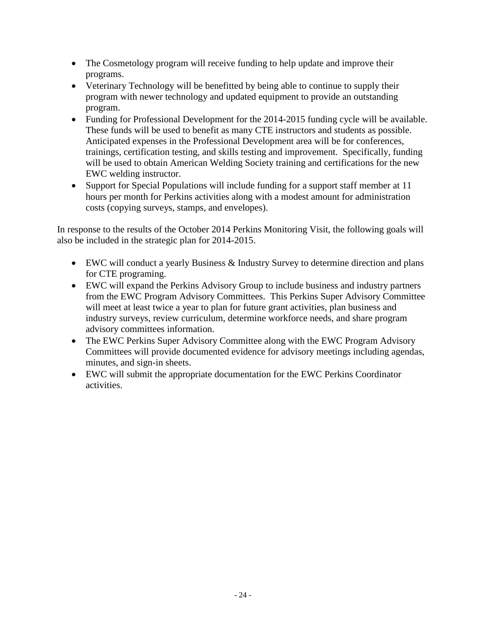- The Cosmetology program will receive funding to help update and improve their programs.
- Veterinary Technology will be benefitted by being able to continue to supply their program with newer technology and updated equipment to provide an outstanding program.
- Funding for Professional Development for the 2014-2015 funding cycle will be available. These funds will be used to benefit as many CTE instructors and students as possible. Anticipated expenses in the Professional Development area will be for conferences, trainings, certification testing, and skills testing and improvement. Specifically, funding will be used to obtain American Welding Society training and certifications for the new EWC welding instructor.
- Support for Special Populations will include funding for a support staff member at 11 hours per month for Perkins activities along with a modest amount for administration costs (copying surveys, stamps, and envelopes).

In response to the results of the October 2014 Perkins Monitoring Visit, the following goals will also be included in the strategic plan for 2014-2015.

- EWC will conduct a yearly Business & Industry Survey to determine direction and plans for CTE programing.
- EWC will expand the Perkins Advisory Group to include business and industry partners from the EWC Program Advisory Committees. This Perkins Super Advisory Committee will meet at least twice a year to plan for future grant activities, plan business and industry surveys, review curriculum, determine workforce needs, and share program advisory committees information.
- The EWC Perkins Super Advisory Committee along with the EWC Program Advisory Committees will provide documented evidence for advisory meetings including agendas, minutes, and sign-in sheets.
- EWC will submit the appropriate documentation for the EWC Perkins Coordinator activities.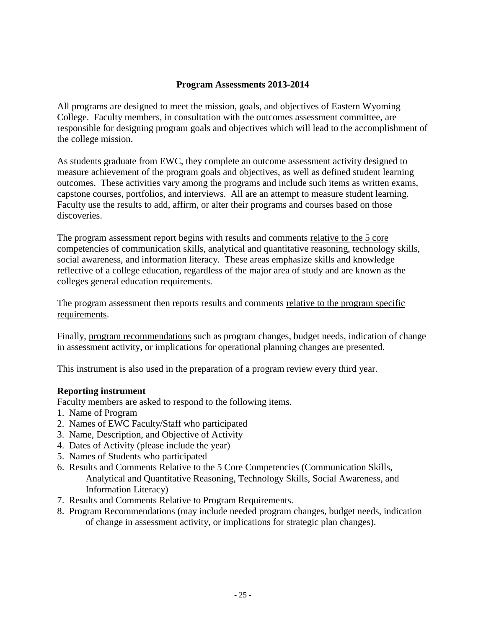#### **Program Assessments 2013-2014**

All programs are designed to meet the mission, goals, and objectives of Eastern Wyoming College. Faculty members, in consultation with the outcomes assessment committee, are responsible for designing program goals and objectives which will lead to the accomplishment of the college mission.

As students graduate from EWC, they complete an outcome assessment activity designed to measure achievement of the program goals and objectives, as well as defined student learning outcomes. These activities vary among the programs and include such items as written exams, capstone courses, portfolios, and interviews. All are an attempt to measure student learning. Faculty use the results to add, affirm, or alter their programs and courses based on those discoveries.

The program assessment report begins with results and comments relative to the 5 core competencies of communication skills, analytical and quantitative reasoning, technology skills, social awareness, and information literacy. These areas emphasize skills and knowledge reflective of a college education, regardless of the major area of study and are known as the colleges general education requirements.

The program assessment then reports results and comments relative to the program specific requirements.

Finally, program recommendations such as program changes, budget needs, indication of change in assessment activity, or implications for operational planning changes are presented.

This instrument is also used in the preparation of a program review every third year.

#### **Reporting instrument**

Faculty members are asked to respond to the following items.

- 1. Name of Program
- 2. Names of EWC Faculty/Staff who participated
- 3. Name, Description, and Objective of Activity
- 4. Dates of Activity (please include the year)
- 5. Names of Students who participated
- 6. Results and Comments Relative to the 5 Core Competencies (Communication Skills, Analytical and Quantitative Reasoning, Technology Skills, Social Awareness, and Information Literacy)
- 7. Results and Comments Relative to Program Requirements.
- 8. Program Recommendations (may include needed program changes, budget needs, indication of change in assessment activity, or implications for strategic plan changes).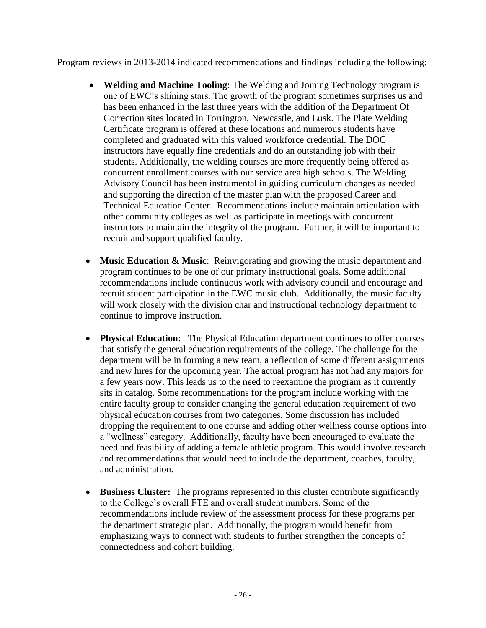Program reviews in 2013-2014 indicated recommendations and findings including the following:

- **Welding and Machine Tooling**: The Welding and Joining Technology program is one of EWC's shining stars. The growth of the program sometimes surprises us and has been enhanced in the last three years with the addition of the Department Of Correction sites located in Torrington, Newcastle, and Lusk. The Plate Welding Certificate program is offered at these locations and numerous students have completed and graduated with this valued workforce credential. The DOC instructors have equally fine credentials and do an outstanding job with their students. Additionally, the welding courses are more frequently being offered as concurrent enrollment courses with our service area high schools. The Welding Advisory Council has been instrumental in guiding curriculum changes as needed and supporting the direction of the master plan with the proposed Career and Technical Education Center. Recommendations include maintain articulation with other community colleges as well as participate in meetings with concurrent instructors to maintain the integrity of the program. Further, it will be important to recruit and support qualified faculty.
- **Music Education & Music**: Reinvigorating and growing the music department and program continues to be one of our primary instructional goals. Some additional recommendations include continuous work with advisory council and encourage and recruit student participation in the EWC music club. Additionally, the music faculty will work closely with the division char and instructional technology department to continue to improve instruction.
- **Physical Education**: The Physical Education department continues to offer courses that satisfy the general education requirements of the college. The challenge for the department will be in forming a new team, a reflection of some different assignments and new hires for the upcoming year. The actual program has not had any majors for a few years now. This leads us to the need to reexamine the program as it currently sits in catalog. Some recommendations for the program include working with the entire faculty group to consider changing the general education requirement of two physical education courses from two categories. Some discussion has included dropping the requirement to one course and adding other wellness course options into a "wellness" category. Additionally, faculty have been encouraged to evaluate the need and feasibility of adding a female athletic program. This would involve research and recommendations that would need to include the department, coaches, faculty, and administration.
- **Business Cluster:** The programs represented in this cluster contribute significantly to the College's overall FTE and overall student numbers. Some of the recommendations include review of the assessment process for these programs per the department strategic plan. Additionally, the program would benefit from emphasizing ways to connect with students to further strengthen the concepts of connectedness and cohort building.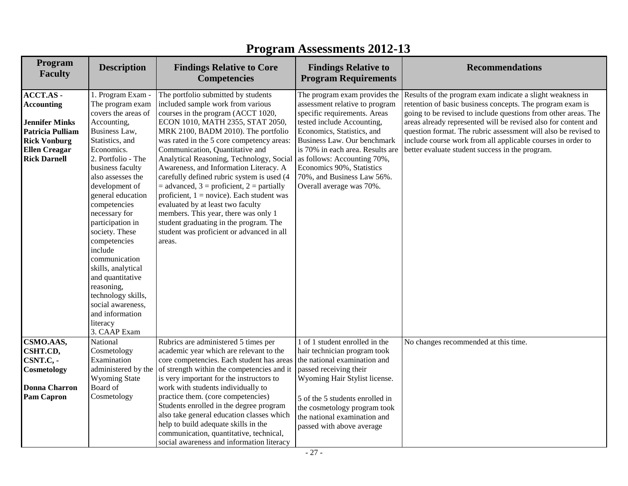| Program<br><b>Faculty</b>                                                                                                                         | <b>Description</b>                                                                                                                                                                                                                                                                                                                                                                                                                                                                                       | <b>Findings Relative to Core</b><br><b>Competencies</b>                                                                                                                                                                                                                                                                                                                                                                                                                                                                                                                                                                                                                                           | <b>Findings Relative to</b><br><b>Program Requirements</b>                                                                                                                                                                                                                                                                                           | <b>Recommendations</b>                                                                                                                                                                                                                                                                                                                                                                                                                         |
|---------------------------------------------------------------------------------------------------------------------------------------------------|----------------------------------------------------------------------------------------------------------------------------------------------------------------------------------------------------------------------------------------------------------------------------------------------------------------------------------------------------------------------------------------------------------------------------------------------------------------------------------------------------------|---------------------------------------------------------------------------------------------------------------------------------------------------------------------------------------------------------------------------------------------------------------------------------------------------------------------------------------------------------------------------------------------------------------------------------------------------------------------------------------------------------------------------------------------------------------------------------------------------------------------------------------------------------------------------------------------------|------------------------------------------------------------------------------------------------------------------------------------------------------------------------------------------------------------------------------------------------------------------------------------------------------------------------------------------------------|------------------------------------------------------------------------------------------------------------------------------------------------------------------------------------------------------------------------------------------------------------------------------------------------------------------------------------------------------------------------------------------------------------------------------------------------|
| ACCT.AS -<br><b>Accounting</b><br><b>Jennifer Minks</b><br>Patricia Pulliam<br><b>Rick Vonburg</b><br><b>Ellen Creagar</b><br><b>Rick Darnell</b> | 1. Program Exam -<br>The program exam<br>covers the areas of<br>Accounting,<br>Business Law,<br>Statistics, and<br>Economics.<br>2. Portfolio - The<br>business faculty<br>also assesses the<br>development of<br>general education<br>competencies<br>necessary for<br>participation in<br>society. These<br>competencies<br>include<br>communication<br>skills, analytical<br>and quantitative<br>reasoning,<br>technology skills,<br>social awareness,<br>and information<br>literacy<br>3. CAAP Exam | The portfolio submitted by students<br>included sample work from various<br>courses in the program (ACCT 1020,<br>ECON 1010, MATH 2355, STAT 2050,<br>MRK 2100, BADM 2010). The portfolio<br>was rated in the 5 core competency areas:<br>Communication, Quantitative and<br>Analytical Reasoning, Technology, Social<br>Awareness, and Information Literacy. A<br>carefully defined rubric system is used (4<br>$=$ advanced, 3 = proficient, 2 = partially<br>proficient, $1 = \text{novice}$ ). Each student was<br>evaluated by at least two faculty<br>members. This year, there was only 1<br>student graduating in the program. The<br>student was proficient or advanced in all<br>areas. | The program exam provides the<br>assessment relative to program<br>specific requirements. Areas<br>tested include Accounting,<br>Economics, Statistics, and<br>Business Law. Our benchmark<br>is 70% in each area. Results are<br>as follows: Accounting 70%,<br>Economics 90%, Statistics<br>70%, and Business Law 56%.<br>Overall average was 70%. | Results of the program exam indicate a slight weakness in<br>retention of basic business concepts. The program exam is<br>going to be revised to include questions from other areas. The<br>areas already represented will be revised also for content and<br>question format. The rubric assessment will also be revised to<br>include course work from all applicable courses in order to<br>better evaluate student success in the program. |
| CSMO.AAS,<br>CSHT.CD,<br>CSNT.C, -<br>Cosmetology<br><b>Donna Charron</b><br><b>Pam Capron</b>                                                    | National<br>Cosmetology<br>Examination<br>administered by the<br><b>Wyoming State</b><br>Board of<br>Cosmetology                                                                                                                                                                                                                                                                                                                                                                                         | Rubrics are administered 5 times per<br>academic year which are relevant to the<br>core competencies. Each student has areas<br>of strength within the competencies and it<br>is very important for the instructors to<br>work with students individually to<br>practice them. (core competencies)<br>Students enrolled in the degree program<br>also take general education classes which<br>help to build adequate skills in the<br>communication, quantitative, technical,<br>social awareness and information literacy                                                                                                                                                                        | 1 of 1 student enrolled in the<br>hair technician program took<br>the national examination and<br>passed receiving their<br>Wyoming Hair Stylist license.<br>5 of the 5 students enrolled in<br>the cosmetology program took<br>the national examination and<br>passed with above average                                                            | No changes recommended at this time.                                                                                                                                                                                                                                                                                                                                                                                                           |

# **Program Assessments 2012-13**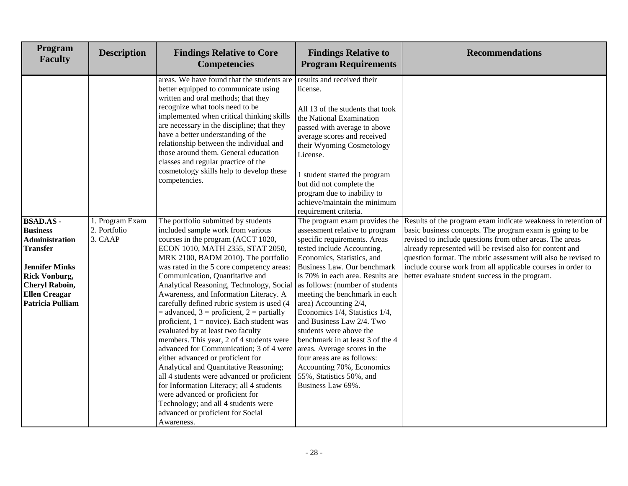| Program<br><b>Faculty</b>                                                                                                                                                                                   | <b>Description</b>                         | <b>Findings Relative to Core</b><br><b>Competencies</b>                                                                                                                                                                                                                                                                                                                                                                                                                                                                                                                                                                                                                                                                                                                                                                                                                                                                                                                                | <b>Findings Relative to</b><br><b>Program Requirements</b>                                                                                                                                                                                                                                                                                                                                                                                                                                                                                                                | <b>Recommendations</b>                                                                                                                                                                                                                                                                                                                                                                                                                |
|-------------------------------------------------------------------------------------------------------------------------------------------------------------------------------------------------------------|--------------------------------------------|----------------------------------------------------------------------------------------------------------------------------------------------------------------------------------------------------------------------------------------------------------------------------------------------------------------------------------------------------------------------------------------------------------------------------------------------------------------------------------------------------------------------------------------------------------------------------------------------------------------------------------------------------------------------------------------------------------------------------------------------------------------------------------------------------------------------------------------------------------------------------------------------------------------------------------------------------------------------------------------|---------------------------------------------------------------------------------------------------------------------------------------------------------------------------------------------------------------------------------------------------------------------------------------------------------------------------------------------------------------------------------------------------------------------------------------------------------------------------------------------------------------------------------------------------------------------------|---------------------------------------------------------------------------------------------------------------------------------------------------------------------------------------------------------------------------------------------------------------------------------------------------------------------------------------------------------------------------------------------------------------------------------------|
|                                                                                                                                                                                                             |                                            | areas. We have found that the students are<br>better equipped to communicate using<br>written and oral methods; that they<br>recognize what tools need to be<br>implemented when critical thinking skills<br>are necessary in the discipline; that they<br>have a better understanding of the<br>relationship between the individual and<br>those around them. General education<br>classes and regular practice of the<br>cosmetology skills help to develop these<br>competencies.                                                                                                                                                                                                                                                                                                                                                                                                                                                                                                   | results and received their<br>license.<br>All 13 of the students that took<br>the National Examination<br>passed with average to above<br>average scores and received<br>their Wyoming Cosmetology<br>License.<br>1 student started the program<br>but did not complete the<br>program due to inability to<br>achieve/maintain the minimum<br>requirement criteria.                                                                                                                                                                                                       |                                                                                                                                                                                                                                                                                                                                                                                                                                       |
| <b>BSAD.AS-</b><br><b>Business</b><br><b>Administration</b><br><b>Transfer</b><br><b>Jennifer Minks</b><br><b>Rick Vonburg,</b><br><b>Cheryl Raboin,</b><br><b>Ellen Creagar</b><br><b>Patricia Pulliam</b> | 1. Program Exam<br>2. Portfolio<br>3. CAAP | The portfolio submitted by students<br>included sample work from various<br>courses in the program (ACCT 1020,<br>ECON 1010, MATH 2355, STAT 2050,<br>MRK 2100, BADM 2010). The portfolio<br>was rated in the 5 core competency areas:<br>Communication, Quantitative and<br>Analytical Reasoning, Technology, Social<br>Awareness, and Information Literacy. A<br>carefully defined rubric system is used (4<br>$=$ advanced, 3 = proficient, 2 = partially<br>proficient, $1 = \text{novice}$ ). Each student was<br>evaluated by at least two faculty<br>members. This year, 2 of 4 students were<br>advanced for Communication; 3 of 4 were<br>either advanced or proficient for<br>Analytical and Quantitative Reasoning;<br>all 4 students were advanced or proficient $\vert$ 55%, Statistics 50%, and<br>for Information Literacy; all 4 students<br>were advanced or proficient for<br>Technology; and all 4 students were<br>advanced or proficient for Social<br>Awareness. | The program exam provides the<br>assessment relative to program<br>specific requirements. Areas<br>tested include Accounting,<br>Economics, Statistics, and<br>Business Law. Our benchmark<br>is 70% in each area. Results are<br>as follows: (number of students<br>meeting the benchmark in each<br>area) Accounting 2/4,<br>Economics 1/4, Statistics 1/4,<br>and Business Law 2/4. Two<br>students were above the<br>benchmark in at least 3 of the 4<br>areas. Average scores in the<br>four areas are as follows:<br>Accounting 70%, Economics<br>Business Law 69%. | Results of the program exam indicate weakness in retention of<br>basic business concepts. The program exam is going to be<br>revised to include questions from other areas. The areas<br>already represented will be revised also for content and<br>question format. The rubric assessment will also be revised to<br>include course work from all applicable courses in order to<br>better evaluate student success in the program. |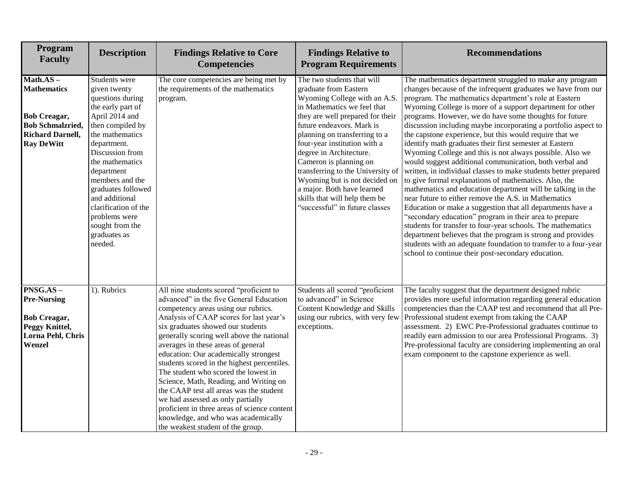| Program<br><b>Faculty</b>                                                                                                           | <b>Description</b>                                                                                                                                                                                                                                                                                                                                   | <b>Findings Relative to Core</b><br><b>Competencies</b>                                                                                                                                                                                                                                                                                                                                                                                                                                                                                                                                                                                                                            | <b>Findings Relative to</b><br><b>Program Requirements</b>                                                                                                                                                                                                                                                                                                                                                                                                                       | <b>Recommendations</b>                                                                                                                                                                                                                                                                                                                                                                                                                                                                                                                                                                                                                                                                                                                                                                                                                                                                                                                                                                                                                                                                                                                                                                                                                                    |
|-------------------------------------------------------------------------------------------------------------------------------------|------------------------------------------------------------------------------------------------------------------------------------------------------------------------------------------------------------------------------------------------------------------------------------------------------------------------------------------------------|------------------------------------------------------------------------------------------------------------------------------------------------------------------------------------------------------------------------------------------------------------------------------------------------------------------------------------------------------------------------------------------------------------------------------------------------------------------------------------------------------------------------------------------------------------------------------------------------------------------------------------------------------------------------------------|----------------------------------------------------------------------------------------------------------------------------------------------------------------------------------------------------------------------------------------------------------------------------------------------------------------------------------------------------------------------------------------------------------------------------------------------------------------------------------|-----------------------------------------------------------------------------------------------------------------------------------------------------------------------------------------------------------------------------------------------------------------------------------------------------------------------------------------------------------------------------------------------------------------------------------------------------------------------------------------------------------------------------------------------------------------------------------------------------------------------------------------------------------------------------------------------------------------------------------------------------------------------------------------------------------------------------------------------------------------------------------------------------------------------------------------------------------------------------------------------------------------------------------------------------------------------------------------------------------------------------------------------------------------------------------------------------------------------------------------------------------|
| $Math.AS -$<br><b>Mathematics</b><br><b>Bob Creagar,</b><br><b>Bob Schmalzried,</b><br><b>Richard Darnell,</b><br><b>Ray DeWitt</b> | Students were<br>given twenty<br>questions during<br>the early part of<br>April 2014 and<br>then compiled by<br>the mathematics<br>department.<br>Discussion from<br>the mathematics<br>department<br>members and the<br>graduates followed<br>and additional<br>clarification of the<br>problems were<br>sought from the<br>graduates as<br>needed. | The core competencies are being met by<br>the requirements of the mathematics<br>program.                                                                                                                                                                                                                                                                                                                                                                                                                                                                                                                                                                                          | The two students that will<br>graduate from Eastern<br>Wyoming College with an A.S.<br>in Mathematics we feel that<br>they are well prepared for their<br>future endeavors. Mark is<br>planning on transferring to a<br>four-year institution with a<br>degree in Architecture.<br>Cameron is planning on<br>transferring to the University of<br>Wyoming but is not decided on<br>a major. Both have learned<br>skills that will help them be<br>"successful" in future classes | The mathematics department struggled to make any program<br>changes because of the infrequent graduates we have from our<br>program. The mathematics department's role at Eastern<br>Wyoming College is more of a support department for other<br>programs. However, we do have some thoughts for future<br>discussion including maybe incorporating a portfolio aspect to<br>the capstone experience, but this would require that we<br>identify math graduates their first semester at Eastern<br>Wyoming College and this is not always possible. Also we<br>would suggest additional communication, both verbal and<br>written, in individual classes to make students better prepared<br>to give formal explanations of mathematics. Also, the<br>mathematics and education department will be talking in the<br>near future to either remove the A.S. in Mathematics<br>Education or make a suggestion that all departments have a<br>"secondary education" program in their area to prepare<br>students for transfer to four-year schools. The mathematics<br>department believes that the program is strong and provides<br>students with an adequate foundation to transfer to a four-year<br>school to continue their post-secondary education. |
| $PNSG.AS -$<br><b>Pre-Nursing</b><br><b>Bob Creagar,</b><br>Peggy Knittel,<br>Lorna Pehl, Chris<br>Wenzel                           | 1). Rubrics                                                                                                                                                                                                                                                                                                                                          | All nine students scored "proficient to<br>advanced" in the five General Education<br>competency areas using our rubrics.<br>Analysis of CAAP scores for last year's<br>six graduates showed our students<br>generally scoring well above the national<br>averages in these areas of general<br>education: Our academically strongest<br>students scored in the highest percentiles.<br>The student who scored the lowest in<br>Science, Math, Reading, and Writing on<br>the CAAP test all areas was the student<br>we had assessed as only partially<br>proficient in three areas of science content<br>knowledge, and who was academically<br>the weakest student of the group. | Students all scored "proficient<br>to advanced" in Science<br>Content Knowledge and Skills<br>using our rubrics, with very few<br>exceptions.                                                                                                                                                                                                                                                                                                                                    | The faculty suggest that the department designed rubric<br>provides more useful information regarding general education<br>competencies than the CAAP test and recommend that all Pre-<br>Professional student exempt from taking the CAAP<br>assessment. 2) EWC Pre-Professional graduates continue to<br>readily earn admission to our area Professional Programs. 3)<br>Pre-professional faculty are considering implementing an oral<br>exam component to the capstone experience as well.                                                                                                                                                                                                                                                                                                                                                                                                                                                                                                                                                                                                                                                                                                                                                            |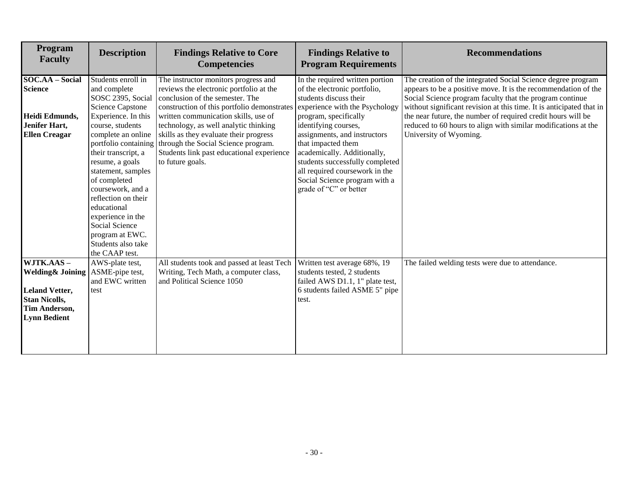| Program<br><b>Faculty</b>                                                                                                          | <b>Description</b>                                                                                                                                                                                                                                                                                                                                            | <b>Findings Relative to Core</b><br><b>Competencies</b>                                                                                                                                                                                                                                                                                                                                              | <b>Findings Relative to</b><br><b>Program Requirements</b>                                                                                                                                                                                                                                                                                                                                        | <b>Recommendations</b>                                                                                                                                                                                                                                                                                                                                                                                                         |
|------------------------------------------------------------------------------------------------------------------------------------|---------------------------------------------------------------------------------------------------------------------------------------------------------------------------------------------------------------------------------------------------------------------------------------------------------------------------------------------------------------|------------------------------------------------------------------------------------------------------------------------------------------------------------------------------------------------------------------------------------------------------------------------------------------------------------------------------------------------------------------------------------------------------|---------------------------------------------------------------------------------------------------------------------------------------------------------------------------------------------------------------------------------------------------------------------------------------------------------------------------------------------------------------------------------------------------|--------------------------------------------------------------------------------------------------------------------------------------------------------------------------------------------------------------------------------------------------------------------------------------------------------------------------------------------------------------------------------------------------------------------------------|
| SOC.AA - Social<br><b>Science</b><br>Heidi Edmunds,<br>Jenifer Hart,<br><b>Ellen Creagar</b>                                       | Students enroll in<br>and complete<br>SOSC 2395, Social<br><b>Science Capstone</b><br>Experience. In this<br>course, students<br>complete an online<br>portfolio containing<br>their transcript, a<br>resume, a goals<br>statement, samples<br>of completed<br>coursework, and a<br>reflection on their<br>educational<br>experience in the<br>Social Science | The instructor monitors progress and<br>reviews the electronic portfolio at the<br>conclusion of the semester. The<br>construction of this portfolio demonstrates<br>written communication skills, use of<br>technology, as well analytic thinking<br>skills as they evaluate their progress<br>through the Social Science program.<br>Students link past educational experience<br>to future goals. | In the required written portion<br>of the electronic portfolio,<br>students discuss their<br>experience with the Psychology<br>program, specifically<br>identifying courses,<br>assignments, and instructors<br>that impacted them<br>academically. Additionally,<br>students successfully completed<br>all required coursework in the<br>Social Science program with a<br>grade of "C" or better | The creation of the integrated Social Science degree program<br>appears to be a positive move. It is the recommendation of the<br>Social Science program faculty that the program continue<br>without significant revision at this time. It is anticipated that in<br>the near future, the number of required credit hours will be<br>reduced to 60 hours to align with similar modifications at the<br>University of Wyoming. |
|                                                                                                                                    | program at EWC.<br>Students also take<br>the CAAP test.                                                                                                                                                                                                                                                                                                       |                                                                                                                                                                                                                                                                                                                                                                                                      |                                                                                                                                                                                                                                                                                                                                                                                                   |                                                                                                                                                                                                                                                                                                                                                                                                                                |
| WJTK.AAS-<br><b>Welding &amp; Joining</b><br><b>Leland Vetter,</b><br><b>Stan Nicolls,</b><br>Tim Anderson,<br><b>Lynn Bedient</b> | AWS-plate test,<br>ASME-pipe test,<br>and EWC written<br>test                                                                                                                                                                                                                                                                                                 | All students took and passed at least Tech<br>Writing, Tech Math, a computer class,<br>and Political Science 1050                                                                                                                                                                                                                                                                                    | Written test average 68%, 19<br>students tested, 2 students<br>failed AWS D1.1, 1" plate test,<br>6 students failed ASME 5" pipe<br>test.                                                                                                                                                                                                                                                         | The failed welding tests were due to attendance.                                                                                                                                                                                                                                                                                                                                                                               |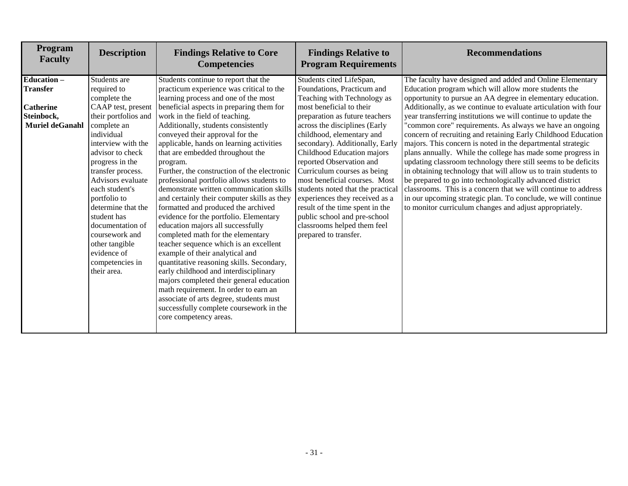| Students continue to report that the<br>practicum experience was critical to the<br>learning process and one of the most<br>beneficial aspects in preparing them for<br>work in the field of teaching.<br>Additionally, students consistently<br>conveyed their approval for the<br>applicable, hands on learning activities                                                                                                                                                                                                                                                                                                                                                                      | Students cited LifeSpan,<br>Foundations, Practicum and<br>Teaching with Technology as<br>most beneficial to their<br>preparation as future teachers<br>across the disciplines (Early<br>childhood, elementary and                                                                                                                                           | The faculty have designed and added and Online Elementary<br>Education program which will allow more students the<br>opportunity to pursue an AA degree in elementary education.<br>Additionally, as we continue to evaluate articulation with four<br>year transferring institutions we will continue to update the<br>"common core" requirements. As always we have an ongoing                                                                                                                                                                                                           |
|---------------------------------------------------------------------------------------------------------------------------------------------------------------------------------------------------------------------------------------------------------------------------------------------------------------------------------------------------------------------------------------------------------------------------------------------------------------------------------------------------------------------------------------------------------------------------------------------------------------------------------------------------------------------------------------------------|-------------------------------------------------------------------------------------------------------------------------------------------------------------------------------------------------------------------------------------------------------------------------------------------------------------------------------------------------------------|--------------------------------------------------------------------------------------------------------------------------------------------------------------------------------------------------------------------------------------------------------------------------------------------------------------------------------------------------------------------------------------------------------------------------------------------------------------------------------------------------------------------------------------------------------------------------------------------|
|                                                                                                                                                                                                                                                                                                                                                                                                                                                                                                                                                                                                                                                                                                   |                                                                                                                                                                                                                                                                                                                                                             |                                                                                                                                                                                                                                                                                                                                                                                                                                                                                                                                                                                            |
|                                                                                                                                                                                                                                                                                                                                                                                                                                                                                                                                                                                                                                                                                                   |                                                                                                                                                                                                                                                                                                                                                             |                                                                                                                                                                                                                                                                                                                                                                                                                                                                                                                                                                                            |
|                                                                                                                                                                                                                                                                                                                                                                                                                                                                                                                                                                                                                                                                                                   |                                                                                                                                                                                                                                                                                                                                                             |                                                                                                                                                                                                                                                                                                                                                                                                                                                                                                                                                                                            |
|                                                                                                                                                                                                                                                                                                                                                                                                                                                                                                                                                                                                                                                                                                   |                                                                                                                                                                                                                                                                                                                                                             |                                                                                                                                                                                                                                                                                                                                                                                                                                                                                                                                                                                            |
|                                                                                                                                                                                                                                                                                                                                                                                                                                                                                                                                                                                                                                                                                                   |                                                                                                                                                                                                                                                                                                                                                             |                                                                                                                                                                                                                                                                                                                                                                                                                                                                                                                                                                                            |
| that are embedded throughout the<br>program.<br>Further, the construction of the electronic<br>professional portfolio allows students to<br>demonstrate written communication skills<br>and certainly their computer skills as they<br>formatted and produced the archived<br>evidence for the portfolio. Elementary<br>education majors all successfully<br>completed math for the elementary<br>teacher sequence which is an excellent<br>example of their analytical and<br>quantitative reasoning skills. Secondary,<br>early childhood and interdisciplinary<br>majors completed their general education<br>math requirement. In order to earn an<br>associate of arts degree, students must | secondary). Additionally, Early<br>Childhood Education majors<br>reported Observation and<br>Curriculum courses as being<br>most beneficial courses. Most<br>students noted that the practical<br>experiences they received as a<br>result of the time spent in the<br>public school and pre-school<br>classrooms helped them feel<br>prepared to transfer. | concern of recruiting and retaining Early Childhood Education<br>majors. This concern is noted in the departmental strategic<br>plans annually. While the college has made some progress in<br>updating classroom technology there still seems to be deficits<br>in obtaining technology that will allow us to train students to<br>be prepared to go into technologically advanced district<br>classrooms. This is a concern that we will continue to address<br>in our upcoming strategic plan. To conclude, we will continue<br>to monitor curriculum changes and adjust appropriately. |
|                                                                                                                                                                                                                                                                                                                                                                                                                                                                                                                                                                                                                                                                                                   | successfully complete coursework in the<br>core competency areas.                                                                                                                                                                                                                                                                                           |                                                                                                                                                                                                                                                                                                                                                                                                                                                                                                                                                                                            |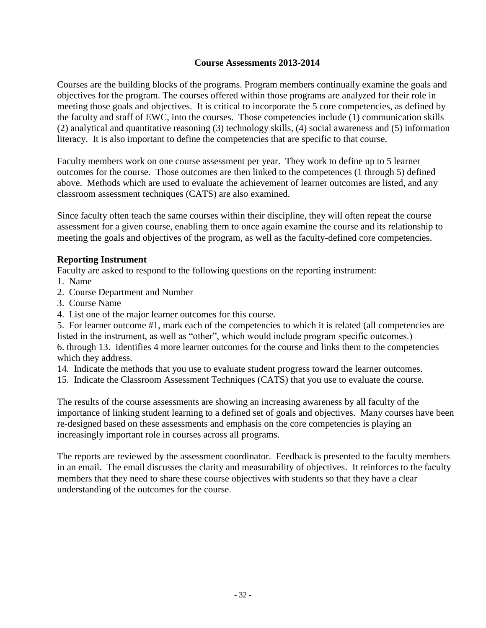#### **Course Assessments 2013-2014**

Courses are the building blocks of the programs. Program members continually examine the goals and objectives for the program. The courses offered within those programs are analyzed for their role in meeting those goals and objectives. It is critical to incorporate the 5 core competencies, as defined by the faculty and staff of EWC, into the courses. Those competencies include (1) communication skills (2) analytical and quantitative reasoning (3) technology skills, (4) social awareness and (5) information literacy. It is also important to define the competencies that are specific to that course.

Faculty members work on one course assessment per year. They work to define up to 5 learner outcomes for the course. Those outcomes are then linked to the competences (1 through 5) defined above. Methods which are used to evaluate the achievement of learner outcomes are listed, and any classroom assessment techniques (CATS) are also examined.

Since faculty often teach the same courses within their discipline, they will often repeat the course assessment for a given course, enabling them to once again examine the course and its relationship to meeting the goals and objectives of the program, as well as the faculty-defined core competencies.

#### **Reporting Instrument**

Faculty are asked to respond to the following questions on the reporting instrument:

- 1. Name
- 2. Course Department and Number
- 3. Course Name
- 4. List one of the major learner outcomes for this course.

5. For learner outcome #1, mark each of the competencies to which it is related (all competencies are listed in the instrument, as well as "other", which would include program specific outcomes.) 6. through 13. Identifies 4 more learner outcomes for the course and links them to the competencies which they address.

14. Indicate the methods that you use to evaluate student progress toward the learner outcomes.

15. Indicate the Classroom Assessment Techniques (CATS) that you use to evaluate the course.

The results of the course assessments are showing an increasing awareness by all faculty of the importance of linking student learning to a defined set of goals and objectives. Many courses have been re-designed based on these assessments and emphasis on the core competencies is playing an increasingly important role in courses across all programs.

The reports are reviewed by the assessment coordinator. Feedback is presented to the faculty members in an email. The email discusses the clarity and measurability of objectives. It reinforces to the faculty members that they need to share these course objectives with students so that they have a clear understanding of the outcomes for the course.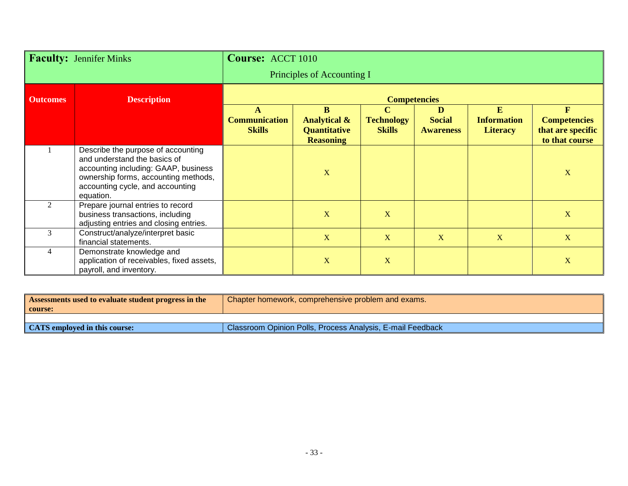| <b>Faculty: Jennifer Minks</b> |                                                                                                                                                                                                     | Course: ACCT 1010                          |                                                                         |                                                   |                                        |                                            |                                                                            |
|--------------------------------|-----------------------------------------------------------------------------------------------------------------------------------------------------------------------------------------------------|--------------------------------------------|-------------------------------------------------------------------------|---------------------------------------------------|----------------------------------------|--------------------------------------------|----------------------------------------------------------------------------|
|                                |                                                                                                                                                                                                     | Principles of Accounting I                 |                                                                         |                                                   |                                        |                                            |                                                                            |
| <b>Outcomes</b>                | <b>Description</b>                                                                                                                                                                                  | <b>Competencies</b>                        |                                                                         |                                                   |                                        |                                            |                                                                            |
|                                |                                                                                                                                                                                                     | A<br><b>Communication</b><br><b>Skills</b> | B<br><b>Analytical &amp;</b><br><b>Quantitative</b><br><b>Reasoning</b> | $\mathbf C$<br><b>Technology</b><br><b>Skills</b> | D<br><b>Social</b><br><b>Awareness</b> | E<br><b>Information</b><br><b>Literacy</b> | $\mathbf{F}$<br><b>Competencies</b><br>that are specific<br>to that course |
|                                | Describe the purpose of accounting<br>and understand the basics of<br>accounting including: GAAP, business<br>ownership forms, accounting methods,<br>accounting cycle, and accounting<br>equation. |                                            | $\overline{\mathbf{X}}$                                                 |                                                   |                                        |                                            | $\mathbf X$                                                                |
| 2                              | Prepare journal entries to record<br>business transactions, including<br>adjusting entries and closing entries.                                                                                     |                                            | $\mathbf X$                                                             | X                                                 |                                        |                                            | X                                                                          |
| 3                              | Construct/analyze/interpret basic<br>financial statements.                                                                                                                                          |                                            | $\mathbf{X}$                                                            | X                                                 | X                                      | $\mathbf X$                                | X                                                                          |
| 4                              | Demonstrate knowledge and<br>application of receivables, fixed assets,<br>payroll, and inventory.                                                                                                   |                                            | $\mathbf X$                                                             | $\mathbf X$                                       |                                        |                                            | $\mathbf X$                                                                |

| <b>Assessments used to evaluate student progress in the</b> | Chapter homework, comprehensive problem and exams.         |
|-------------------------------------------------------------|------------------------------------------------------------|
| course:                                                     |                                                            |
|                                                             |                                                            |
| <b>CATS</b> employed in this course:                        | Classroom Opinion Polls, Process Analysis, E-mail Feedback |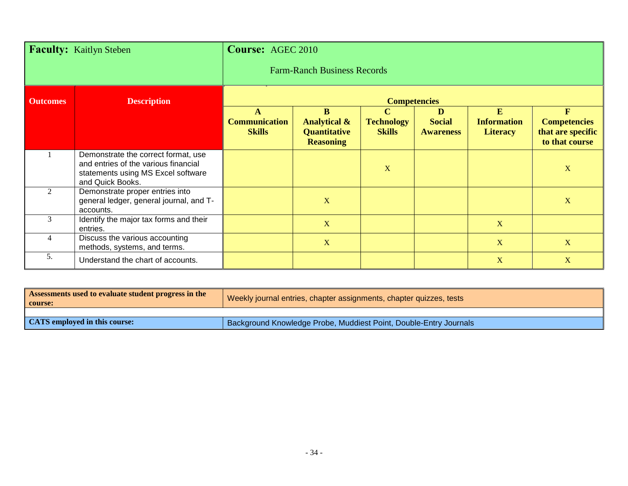| <b>Faculty:</b> Kaitlyn Steben |                                                                                                                                       | <b>Course: AGEC 2010</b>                   |                                                                         |                                                   |                                        |                                            |                                                                            |
|--------------------------------|---------------------------------------------------------------------------------------------------------------------------------------|--------------------------------------------|-------------------------------------------------------------------------|---------------------------------------------------|----------------------------------------|--------------------------------------------|----------------------------------------------------------------------------|
|                                |                                                                                                                                       |                                            | <b>Farm-Ranch Business Records</b>                                      |                                                   |                                        |                                            |                                                                            |
| <b>Outcomes</b>                | <b>Description</b>                                                                                                                    | <b>Competencies</b>                        |                                                                         |                                                   |                                        |                                            |                                                                            |
|                                |                                                                                                                                       | A<br><b>Communication</b><br><b>Skills</b> | B<br><b>Analytical &amp;</b><br><b>Quantitative</b><br><b>Reasoning</b> | $\mathbf C$<br><b>Technology</b><br><b>Skills</b> | D<br><b>Social</b><br><b>Awareness</b> | E<br><b>Information</b><br><b>Literacy</b> | $\mathbf{F}$<br><b>Competencies</b><br>that are specific<br>to that course |
|                                | Demonstrate the correct format, use<br>and entries of the various financial<br>statements using MS Excel software<br>and Quick Books. |                                            |                                                                         | X                                                 |                                        |                                            | X                                                                          |
| 2                              | Demonstrate proper entries into<br>general ledger, general journal, and T-<br>accounts.                                               |                                            | X                                                                       |                                                   |                                        |                                            | $\mathbf X$                                                                |
| 3                              | Identify the major tax forms and their<br>entries.                                                                                    |                                            | $\mathbf{X}$                                                            |                                                   |                                        | X                                          |                                                                            |
| $\overline{4}$                 | Discuss the various accounting<br>methods, systems, and terms.                                                                        |                                            | $\mathbf X$                                                             |                                                   |                                        | X                                          | X                                                                          |
| 5.                             | Understand the chart of accounts.                                                                                                     |                                            |                                                                         |                                                   |                                        | X                                          | X                                                                          |

| Assessments used to evaluate student progress in the<br>  course: | Weekly journal entries, chapter assignments, chapter quizzes, tests      |
|-------------------------------------------------------------------|--------------------------------------------------------------------------|
|                                                                   |                                                                          |
| <b>CATS</b> employed in this course:                              | <b>Background Knowledge Probe, Muddiest Point, Double-Entry Journals</b> |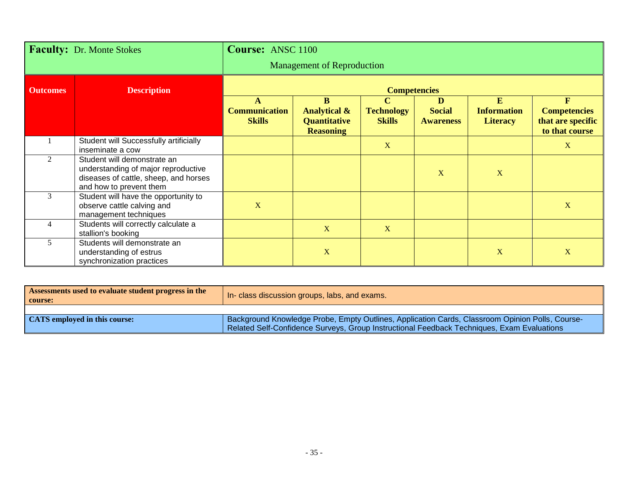| <b>Faculty:</b> Dr. Monte Stokes |                                                                                                                                        | <b>Course: ANSC 1100</b>                   |                                                                                    |                                                   |                                        |                                            |                                                                 |
|----------------------------------|----------------------------------------------------------------------------------------------------------------------------------------|--------------------------------------------|------------------------------------------------------------------------------------|---------------------------------------------------|----------------------------------------|--------------------------------------------|-----------------------------------------------------------------|
|                                  |                                                                                                                                        | <b>Management of Reproduction</b>          |                                                                                    |                                                   |                                        |                                            |                                                                 |
| <b>Outcomes</b>                  | <b>Description</b>                                                                                                                     | <b>Competencies</b>                        |                                                                                    |                                                   |                                        |                                            |                                                                 |
|                                  |                                                                                                                                        | A<br><b>Communication</b><br><b>Skills</b> | $\mathbf{B}$<br><b>Analytical &amp;</b><br><b>Quantitative</b><br><b>Reasoning</b> | $\mathbf C$<br><b>Technology</b><br><b>Skills</b> | D<br><b>Social</b><br><b>Awareness</b> | E<br><b>Information</b><br><b>Literacy</b> | F<br><b>Competencies</b><br>that are specific<br>to that course |
|                                  | Student will Successfully artificially<br>inseminate a cow                                                                             |                                            |                                                                                    | $\mathbf{X}$                                      |                                        |                                            | X                                                               |
| 2                                | Student will demonstrate an<br>understanding of major reproductive<br>diseases of cattle, sheep, and horses<br>and how to prevent them |                                            |                                                                                    |                                                   | X                                      | X                                          |                                                                 |
| 3                                | Student will have the opportunity to<br>observe cattle calving and<br>management techniques                                            | $\mathbf X$                                |                                                                                    |                                                   |                                        |                                            | $\mathbf X$                                                     |
|                                  | Students will correctly calculate a<br>stallion's booking                                                                              |                                            | X                                                                                  | X                                                 |                                        |                                            |                                                                 |
| 5                                | Students will demonstrate an<br>understanding of estrus<br>synchronization practices                                                   |                                            | X                                                                                  |                                                   |                                        | X                                          | $\mathbf X$                                                     |

| Assessments used to evaluate student progress in the<br>  course: | In- class discussion groups, labs, and exams.                                                                                                                                                 |
|-------------------------------------------------------------------|-----------------------------------------------------------------------------------------------------------------------------------------------------------------------------------------------|
|                                                                   |                                                                                                                                                                                               |
| <b>CATS</b> employed in this course:                              | Background Knowledge Probe, Empty Outlines, Application Cards, Classroom Opinion Polls, Course-<br>Related Self-Confidence Surveys, Group Instructional Feedback Techniques, Exam Evaluations |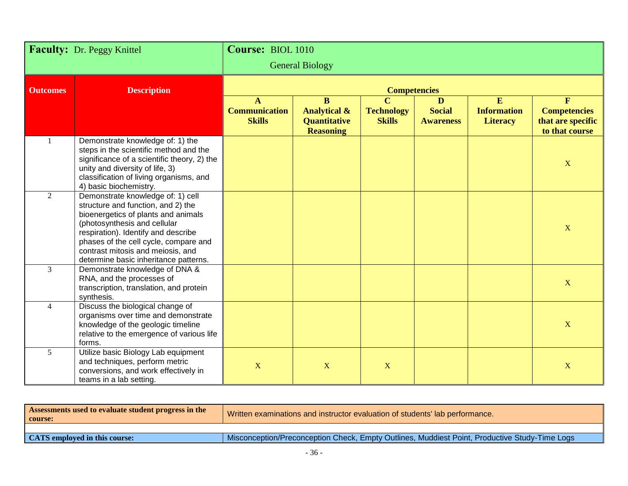| Faculty: Dr. Peggy Knittel |                                                                                                                                                                                                                                                                                                              | Course: BIOL 1010                                     |                                                                                    |                                                   |                                        |                                            |                                                                            |
|----------------------------|--------------------------------------------------------------------------------------------------------------------------------------------------------------------------------------------------------------------------------------------------------------------------------------------------------------|-------------------------------------------------------|------------------------------------------------------------------------------------|---------------------------------------------------|----------------------------------------|--------------------------------------------|----------------------------------------------------------------------------|
|                            |                                                                                                                                                                                                                                                                                                              | <b>General Biology</b>                                |                                                                                    |                                                   |                                        |                                            |                                                                            |
| <b>Outcomes</b>            | <b>Description</b>                                                                                                                                                                                                                                                                                           |                                                       |                                                                                    | <b>Competencies</b>                               |                                        |                                            |                                                                            |
|                            |                                                                                                                                                                                                                                                                                                              | $\mathbf{A}$<br><b>Communication</b><br><b>Skills</b> | $\mathbf{B}$<br><b>Analytical &amp;</b><br><b>Quantitative</b><br><b>Reasoning</b> | $\mathbf C$<br><b>Technology</b><br><b>Skills</b> | D<br><b>Social</b><br><b>Awareness</b> | E<br><b>Information</b><br><b>Literacy</b> | $\mathbf{F}$<br><b>Competencies</b><br>that are specific<br>to that course |
|                            | Demonstrate knowledge of: 1) the<br>steps in the scientific method and the<br>significance of a scientific theory, 2) the<br>unity and diversity of life, 3)<br>classification of living organisms, and<br>4) basic biochemistry.                                                                            |                                                       |                                                                                    |                                                   |                                        |                                            | $\mathbf X$                                                                |
| 2                          | Demonstrate knowledge of: 1) cell<br>structure and function, and 2) the<br>bioenergetics of plants and animals<br>(photosynthesis and cellular<br>respiration). Identify and describe<br>phases of the cell cycle, compare and<br>contrast mitosis and meiosis, and<br>determine basic inheritance patterns. |                                                       |                                                                                    |                                                   |                                        |                                            | $\mathbf X$                                                                |
| 3                          | Demonstrate knowledge of DNA &<br>RNA, and the processes of<br>transcription, translation, and protein<br>synthesis.                                                                                                                                                                                         |                                                       |                                                                                    |                                                   |                                        |                                            | X                                                                          |
| $\overline{4}$             | Discuss the biological change of<br>organisms over time and demonstrate<br>knowledge of the geologic timeline<br>relative to the emergence of various life<br>forms.                                                                                                                                         |                                                       |                                                                                    |                                                   |                                        |                                            | X                                                                          |
| 5                          | Utilize basic Biology Lab equipment<br>and techniques, perform metric<br>conversions, and work effectively in<br>teams in a lab setting.                                                                                                                                                                     | $\mathbf X$                                           | $\mathbf X$                                                                        | X                                                 |                                        |                                            | X                                                                          |

| Assessments used to evaluate student progress in the<br>course: | Written examinations and instructor evaluation of students' lab performance.                  |  |  |  |  |
|-----------------------------------------------------------------|-----------------------------------------------------------------------------------------------|--|--|--|--|
|                                                                 |                                                                                               |  |  |  |  |
| <b>CATS</b> employed in this course:                            | Misconception/Preconception Check, Empty Outlines, Muddiest Point, Productive Study-Time Logs |  |  |  |  |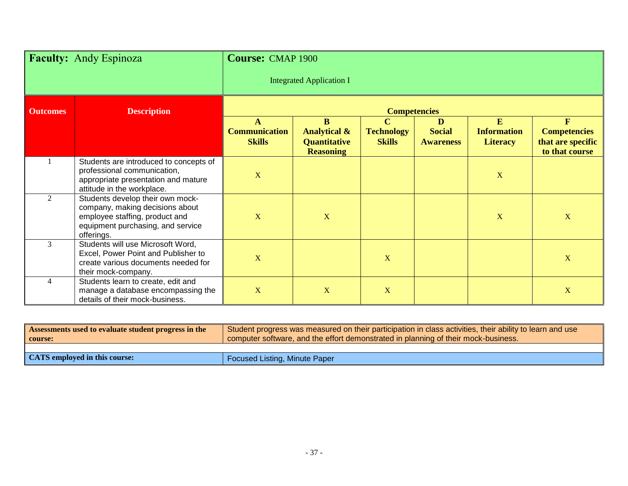| <b>Faculty:</b> Andy Espinoza |                                                                                                                                                          | <b>Course: CMAP 1900</b>                   |                                                                                    |                                                   |                                        |                                            |                                                                            |
|-------------------------------|----------------------------------------------------------------------------------------------------------------------------------------------------------|--------------------------------------------|------------------------------------------------------------------------------------|---------------------------------------------------|----------------------------------------|--------------------------------------------|----------------------------------------------------------------------------|
|                               |                                                                                                                                                          | <b>Integrated Application I</b>            |                                                                                    |                                                   |                                        |                                            |                                                                            |
| <b>Outcomes</b>               | <b>Description</b>                                                                                                                                       | <b>Competencies</b>                        |                                                                                    |                                                   |                                        |                                            |                                                                            |
|                               |                                                                                                                                                          | A<br><b>Communication</b><br><b>Skills</b> | <sub>B</sub><br><b>Analytical &amp;</b><br><b>Quantitative</b><br><b>Reasoning</b> | $\mathbf C$<br><b>Technology</b><br><b>Skills</b> | D<br><b>Social</b><br><b>Awareness</b> | E<br><b>Information</b><br><b>Literacy</b> | $\mathbf{F}$<br><b>Competencies</b><br>that are specific<br>to that course |
|                               | Students are introduced to concepts of<br>professional communication,<br>appropriate presentation and mature<br>attitude in the workplace.               | $\mathbf X$                                |                                                                                    |                                                   |                                        | $\mathbf X$                                |                                                                            |
| 2                             | Students develop their own mock-<br>company, making decisions about<br>employee staffing, product and<br>equipment purchasing, and service<br>offerings. | $\mathbf X$                                | $\mathbf X$                                                                        |                                                   |                                        | $\mathbf X$                                | $\mathbf X$                                                                |
| $\overline{3}$                | Students will use Microsoft Word,<br>Excel, Power Point and Publisher to<br>create various documents needed for<br>their mock-company.                   | $\mathbf X$                                |                                                                                    | X                                                 |                                        |                                            | $\mathbf X$                                                                |
| $\overline{4}$                | Students learn to create, edit and<br>manage a database encompassing the<br>details of their mock-business.                                              | X                                          | X                                                                                  | X                                                 |                                        |                                            | X                                                                          |

| Assessments used to evaluate student progress in the<br>  course: | Student progress was measured on their participation in class activities, their ability to learn and use<br>computer software, and the effort demonstrated in planning of their mock-business. |  |  |  |
|-------------------------------------------------------------------|------------------------------------------------------------------------------------------------------------------------------------------------------------------------------------------------|--|--|--|
|                                                                   |                                                                                                                                                                                                |  |  |  |
| <b>CATS</b> employed in this course:                              | <b>Focused Listing, Minute Paper</b>                                                                                                                                                           |  |  |  |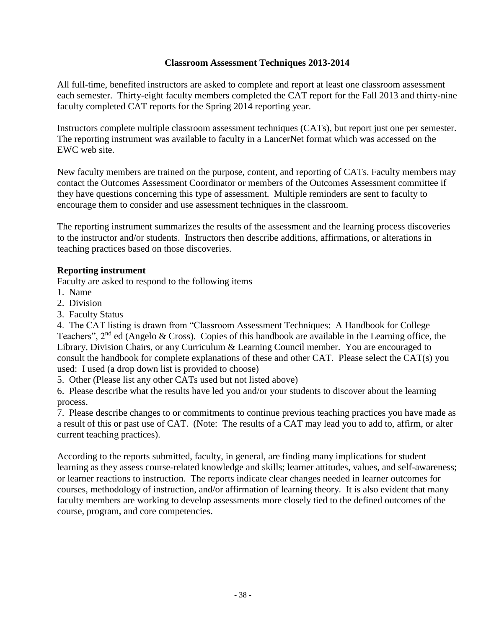#### **Classroom Assessment Techniques 2013-2014**

All full-time, benefited instructors are asked to complete and report at least one classroom assessment each semester. Thirty-eight faculty members completed the CAT report for the Fall 2013 and thirty-nine faculty completed CAT reports for the Spring 2014 reporting year.

Instructors complete multiple classroom assessment techniques (CATs), but report just one per semester. The reporting instrument was available to faculty in a LancerNet format which was accessed on the EWC web site.

New faculty members are trained on the purpose, content, and reporting of CATs. Faculty members may contact the Outcomes Assessment Coordinator or members of the Outcomes Assessment committee if they have questions concerning this type of assessment. Multiple reminders are sent to faculty to encourage them to consider and use assessment techniques in the classroom.

The reporting instrument summarizes the results of the assessment and the learning process discoveries to the instructor and/or students. Instructors then describe additions, affirmations, or alterations in teaching practices based on those discoveries.

#### **Reporting instrument**

Faculty are asked to respond to the following items

- 1. Name
- 2. Division
- 3. Faculty Status

4. The CAT listing is drawn from "Classroom Assessment Techniques: A Handbook for College Teachers", 2<sup>nd</sup> ed (Angelo & Cross). Copies of this handbook are available in the Learning office, the Library, Division Chairs, or any Curriculum & Learning Council member. You are encouraged to consult the handbook for complete explanations of these and other CAT. Please select the CAT(s) you used: I used (a drop down list is provided to choose)

5. Other (Please list any other CATs used but not listed above)

6. Please describe what the results have led you and/or your students to discover about the learning process.

7. Please describe changes to or commitments to continue previous teaching practices you have made as a result of this or past use of CAT. (Note: The results of a CAT may lead you to add to, affirm, or alter current teaching practices).

According to the reports submitted, faculty, in general, are finding many implications for student learning as they assess course-related knowledge and skills; learner attitudes, values, and self-awareness; or learner reactions to instruction. The reports indicate clear changes needed in learner outcomes for courses, methodology of instruction, and/or affirmation of learning theory. It is also evident that many faculty members are working to develop assessments more closely tied to the defined outcomes of the course, program, and core competencies.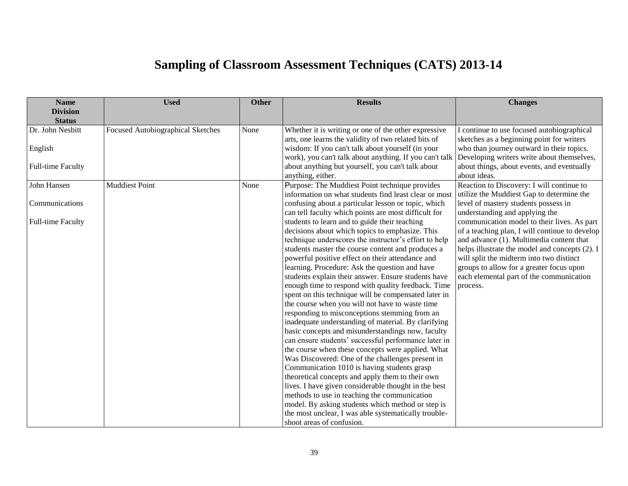# **Sampling of Classroom Assessment Techniques (CATS) 2013-14**

| <b>Name</b>                      | <b>Used</b>                       | <b>Other</b> | <b>Results</b>                                          | <b>Changes</b>                                 |
|----------------------------------|-----------------------------------|--------------|---------------------------------------------------------|------------------------------------------------|
| <b>Division</b><br><b>Status</b> |                                   |              |                                                         |                                                |
| Dr. John Nesbitt                 | Focused Autobiographical Sketches | None         | Whether it is writing or one of the other expressive    | I continue to use focused autobiographical     |
|                                  |                                   |              | arts, one learns the validity of two related bits of    | sketches as a beginning point for writers      |
| English                          |                                   |              | wisdom: If you can't talk about yourself (in your       | who than journey outward in their topics.      |
|                                  |                                   |              | work), you can't talk about anything. If you can't talk | Developing writers write about themselves,     |
| <b>Full-time Faculty</b>         |                                   |              | about anything but yourself, you can't talk about       | about things, about events, and eventually     |
|                                  |                                   |              | anything, either.                                       | about ideas.                                   |
| John Hansen                      | <b>Muddiest Point</b>             | None         | Purpose: The Muddiest Point technique provides          | Reaction to Discovery: I will continue to      |
|                                  |                                   |              | information on what students find least clear or most   | utilize the Muddiest Gap to determine the      |
| Communications                   |                                   |              | confusing about a particular lesson or topic, which     | level of mastery students possess in           |
|                                  |                                   |              | can tell faculty which points are most difficult for    | understanding and applying the                 |
| <b>Full-time Faculty</b>         |                                   |              | students to learn and to guide their teaching           | communication model to their lives. As part    |
|                                  |                                   |              | decisions about which topics to emphasize. This         | of a teaching plan, I will continue to develop |
|                                  |                                   |              | technique underscores the instructor's effort to help   | and advance (1). Multimedia content that       |
|                                  |                                   |              | students master the course content and produces a       | helps illustrate the model and concepts (2). I |
|                                  |                                   |              | powerful positive effect on their attendance and        | will split the midterm into two distinct       |
|                                  |                                   |              | learning. Procedure: Ask the question and have          | groups to allow for a greater focus upon       |
|                                  |                                   |              | students explain their answer. Ensure students have     | each elemental part of the communication       |
|                                  |                                   |              | enough time to respond with quality feedback. Time      | process.                                       |
|                                  |                                   |              | spent on this technique will be compensated later in    |                                                |
|                                  |                                   |              | the course when you will not have to waste time         |                                                |
|                                  |                                   |              | responding to misconceptions stemming from an           |                                                |
|                                  |                                   |              | inadequate understanding of material. By clarifying     |                                                |
|                                  |                                   |              | basic concepts and misunderstandings now, faculty       |                                                |
|                                  |                                   |              | can ensure students' successful performance later in    |                                                |
|                                  |                                   |              | the course when these concepts were applied. What       |                                                |
|                                  |                                   |              | Was Discovered: One of the challenges present in        |                                                |
|                                  |                                   |              | Communication 1010 is having students grasp             |                                                |
|                                  |                                   |              | theoretical concepts and apply them to their own        |                                                |
|                                  |                                   |              | lives. I have given considerable thought in the best    |                                                |
|                                  |                                   |              | methods to use in teaching the communication            |                                                |
|                                  |                                   |              | model. By asking students which method or step is       |                                                |
|                                  |                                   |              | the most unclear, I was able systematically trouble-    |                                                |
|                                  |                                   |              | shoot areas of confusion.                               |                                                |